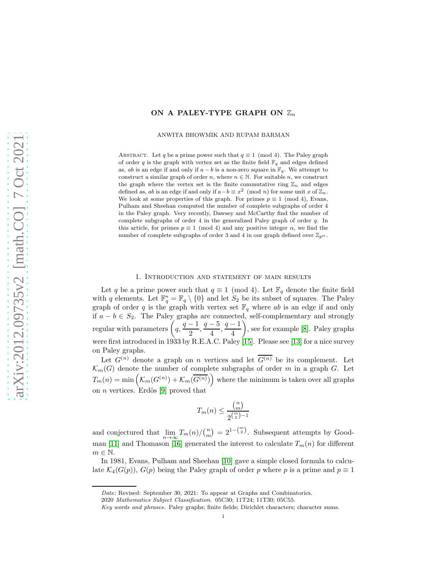## ON A PALEY-TYPE GRAPH ON  $\mathbb{Z}_n$

ANWITA BHOWMIK AND RUPAM BARMAN

ABSTRACT. Let q be a prime power such that  $q \equiv 1 \pmod{4}$ . The Paley graph of order q is the graph with vertex set as the finite field  $\mathbb{F}_q$  and edges defined as, ab is an edge if and only if  $a - b$  is a non-zero square in  $\mathbb{F}_q$ . We attempt to construct a similar graph of order n, where  $n \in \mathbb{N}$ . For suitable n, we construct the graph where the vertex set is the finite commutative ring  $\mathbb{Z}_n$  and edges defined as, ab is an edge if and only if  $a-b \equiv x^2 \pmod{n}$  for some unit x of  $\mathbb{Z}_n$ . We look at some properties of this graph. For primes  $p \equiv 1 \pmod{4}$ , Evans, Pulham and Sheehan computed the number of complete subgraphs of order 4 in the Paley graph. Very recently, Dawsey and McCarthy find the number of complete subgraphs of order 4 in the generalized Paley graph of order q. In this article, for primes  $p \equiv 1 \pmod{4}$  and any positive integer  $\alpha$ , we find the number of complete subgraphs of order 3 and 4 in our graph defined over  $\mathbb{Z}_{p^{\alpha}}$ .

## 1. Introduction and statement of main results

Let q be a prime power such that  $q \equiv 1 \pmod{4}$ . Let  $\mathbb{F}_q$  denote the finite field with q elements. Let  $\mathbb{F}_q^* = \mathbb{F}_q \setminus \{0\}$  and let  $S_2$  be its subset of squares. The Paley graph of order q is the graph with vertex set  $\mathbb{F}_q$  where ab is an edge if and only if  $a - b \in S_2$ . The Paley graphs are connected, self-complementary and strongly regular with parameters  $\left(q, \frac{q-1}{q}\right)$  $\frac{-1}{2}$ ,  $\frac{q-5}{4}$  $\frac{-5}{4}, \frac{q-1}{4}$ 4 , see for example [\[8\]](#page-20-0). Paley graphs were first introduced in 1933 by R.E.A.C. Paley [\[15\]](#page-20-1). Please see [\[13\]](#page-20-2) for a nice survey on Paley graphs.

Let  $G^{(n)}$  denote a graph on *n* vertices and let  $\overline{G^{(n)}}$  be its complement. Let  $\mathcal{K}_m(G)$  denote the number of complete subgraphs of order m in a graph G. Let  $T_m(n) = \min\left(\mathcal{K}_m(G^{(n)}) + \mathcal{K}_m(\overline{G^{(n)}})\right)$  where the minimum is taken over all graphs on *n* vertices. Erdös [\[9\]](#page-20-3) proved that

$$
T_m(n) \le \frac{\binom{n}{m}}{2^{\binom{m}{2}-1}}
$$

and conjectured that  $\lim_{n\to\infty}T_m(n)/\binom{n}{m} = 2^{1-\binom{m}{2}}$ . Subsequent attempts by Good-man [\[11\]](#page-20-4) and Thomason [\[16\]](#page-20-5) generated the interest to calculate  $T_m(n)$  for different  $m \in \mathbb{N}$ .

In 1981, Evans, Pulham and Sheehan [\[10\]](#page-20-6) gave a simple closed formula to calculate  $\mathcal{K}_4(G(p)), G(p)$  being the Paley graph of order p where p is a prime and  $p \equiv 1$ 

Date: Revised: September 30, 2021: To appear at Graphs and Combinatorics.

<sup>2020</sup> Mathematics Subject Classification. 05C30; 11T24; 11T30; 05C55.

Key words and phrases. Paley graphs; finite fields; Dirichlet characters; character sums.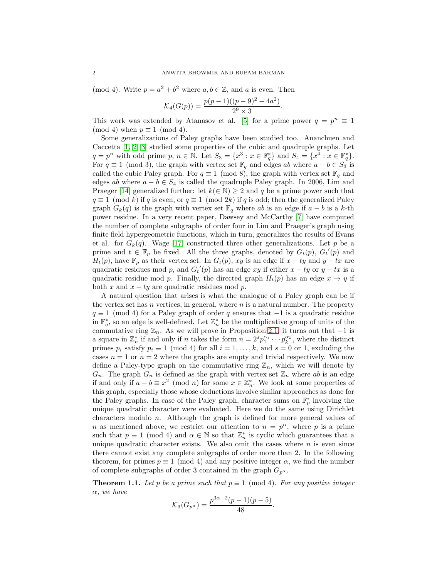(mod 4). Write  $p = a^2 + b^2$  where  $a, b \in \mathbb{Z}$ , and a is even. Then

$$
\mathcal{K}_4(G(p)) = \frac{p(p-1)((p-9)^2 - 4a^2)}{2^9 \times 3}.
$$

This work was extended by Atanasov et al. [\[5\]](#page-20-7) for a prime power  $q = p^n \equiv 1$ (mod 4) when  $p \equiv 1 \pmod{4}$ .

Some generalizations of Paley graphs have been studied too. Ananchuen and Caccetta [\[1,](#page-20-8) [2,](#page-20-9) [3\]](#page-20-10) studied some properties of the cubic and quadruple graphs. Let  $q = p^n$  with odd prime  $p, n \in \mathbb{N}$ . Let  $S_3 = \{x^3 : x \in \mathbb{F}_q^*\}$  and  $S_4 = \{x^4 : x \in \mathbb{F}_q^*\}$ . For  $q \equiv 1 \pmod{3}$ , the graph with vertex set  $\mathbb{F}_q$  and edges ab where  $a - b \in S_3$  is called the cubic Paley graph. For  $q \equiv 1 \pmod{8}$ , the graph with vertex set  $\mathbb{F}_q$  and edges ab where  $a - b \in S_4$  is called the quadruple Paley graph. In 2006, Lim and Praeger [\[14\]](#page-20-11) generalized further: let  $k(\in \mathbb{N}) \geq 2$  and q be a prime power such that  $q \equiv 1 \pmod{k}$  if q is even, or  $q \equiv 1 \pmod{2k}$  if q is odd; then the generalized Paley graph  $G_k(q)$  is the graph with vertex set  $\mathbb{F}_q$  where ab is an edge if  $a - b$  is a k-th power residue. In a very recent paper, Dawsey and McCarthy [\[7\]](#page-20-12) have computed the number of complete subgraphs of order four in Lim and Praeger's graph using finite field hypergeometric functions, which in turn, generalizes the results of Evans et al. for  $G_k(q)$ . Wage [\[17\]](#page-21-0) constructed three other generalizations. Let p be a prime and  $t \in \mathbb{F}_p$  be fixed. All the three graphs, denoted by  $G_t(p)$ ,  $G_t'(p)$  and  $H_t(p)$ , have  $\mathbb{F}_p$  as their vertex set. In  $G_t(p)$ , xy is an edge if  $x - ty$  and  $y - tx$  are quadratic residues mod p, and  $G_t'(p)$  has an edge xy if either  $x - ty$  or  $y - tx$  is a quadratic residue mod p. Finally, the directed graph  $H_t(p)$  has an edge  $x \to y$  if both x and  $x - ty$  are quadratic residues mod p.

A natural question that arises is what the analogue of a Paley graph can be if the vertex set has  $n$  vertices, in general, where  $n$  is a natural number. The property  $q \equiv 1 \pmod{4}$  for a Paley graph of order q ensures that  $-1$  is a quadratic residue in  $\mathbb{F}_q^*$ , so an edge is well-defined. Let  $\mathbb{Z}_n^*$  be the multiplicative group of units of the commutative ring  $\mathbb{Z}_n$ . As we will prove in Proposition [2.1,](#page-2-0) it turns out that  $-1$  is a square in  $\mathbb{Z}_n^*$  if and only if n takes the form  $n = 2^s p_1^{\alpha_1} \cdots p_k^{\alpha_k}$ , where the distinct primes  $p_i$  satisfy  $p_i \equiv 1 \pmod{4}$  for all  $i = 1, ..., k$ , and  $s = 0$  or 1, excluding the cases  $n = 1$  or  $n = 2$  where the graphs are empty and trivial respectively. We now define a Paley-type graph on the commutative ring  $\mathbb{Z}_n$ , which we will denote by  $G_n$ . The graph  $G_n$  is defined as the graph with vertex set  $\mathbb{Z}_n$  where ab is an edge if and only if  $a - b \equiv x^2 \pmod{n}$  for some  $x \in \mathbb{Z}_n^*$ . We look at some properties of this graph, especially those whose deductions involve similar approaches as done for the Paley graphs. In case of the Paley graph, character sums on  $\mathbb{F}_p^*$  involving the unique quadratic character were evaluated. Here we do the same using Dirichlet characters modulo n. Although the graph is defined for more general values of n as mentioned above, we restrict our attention to  $n = p^{\alpha}$ , where p is a prime such that  $p \equiv 1 \pmod{4}$  and  $\alpha \in \mathbb{N}$  so that  $\mathbb{Z}_n^*$  is cyclic which guarantees that a unique quadratic character exists. We also omit the cases where  $n$  is even since there cannot exist any complete subgraphs of order more than 2. In the following theorem, for primes  $p \equiv 1 \pmod{4}$  and any positive integer  $\alpha$ , we find the number of complete subgraphs of order 3 contained in the graph  $G_{p^{\alpha}}$ .

<span id="page-1-0"></span>**Theorem 1.1.** Let p be a prime such that  $p \equiv 1 \pmod{4}$ . For any positive integer  $\alpha$ , we have

$$
\mathcal{K}_3(G_{p^{\alpha}}) = \frac{p^{3\alpha - 2}(p-1)(p-5)}{48}.
$$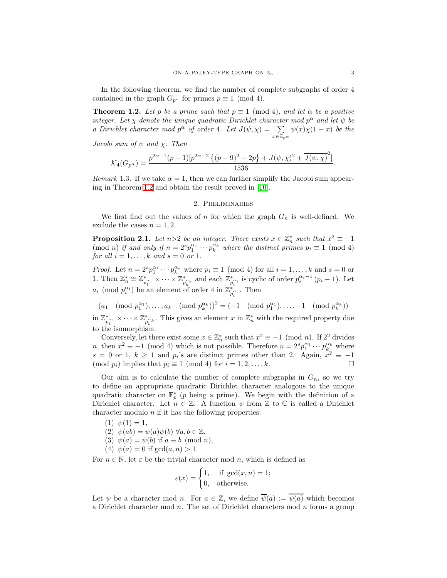In the following theorem, we find the number of complete subgraphs of order 4 contained in the graph  $G_{p^{\alpha}}$  for primes  $p \equiv 1 \pmod{4}$ .

<span id="page-2-1"></span>**Theorem 1.2.** Let p be a prime such that  $p \equiv 1 \pmod{4}$ , and let  $\alpha$  be a positive integer. Let  $\chi$  denote the unique quadratic Dirichlet character mod  $p^{\alpha}$  and let  $\psi$  be a Dirichlet character mod  $p^{\alpha}$  of order 4. Let  $J(\psi, \chi) = \sum$  $x\in\mathbb{Z}_{p^{\alpha}}$  $\psi(x)\chi(1-x)$  be the

Jacobi sum of  $\psi$  and  $\chi$ . Then

$$
\mathcal{K}_4(G_{p^{\alpha}}) = \frac{p^{2\alpha - 1}(p - 1)[p^{2\alpha - 2}\left\{(p - 9)^2 - 2p\right\} + J(\psi, \chi)^2 + \overline{J(\psi, \chi)^2}]}{1536}
$$

*Remark* 1.3. If we take  $\alpha = 1$ , then we can further simplify the Jacobi sum appearing in Theorem [1.2](#page-2-1) and obtain the result proved in [\[10\]](#page-20-6).

## 2. Preliminaries

We first find out the values of n for which the graph  $G_n$  is well-defined. We exclude the cases  $n = 1, 2$ .

<span id="page-2-0"></span>**Proposition 2.1.** Let  $n>2$  be an integer. There exists  $x \in \mathbb{Z}_n^*$  such that  $x^2 \equiv -1$ (mod *n*) if and only if  $n = 2^s p_1^{\alpha_1} \cdots p_k^{\alpha_k}$  where the distinct primes  $p_i \equiv 1 \pmod{4}$ for all  $i = 1, \ldots, k$  and  $s = 0$  or 1.

*Proof.* Let  $n = 2^s p_1^{\alpha_1} \cdots p_k^{\alpha_k}$  where  $p_i \equiv 1 \pmod{4}$  for all  $i = 1, ..., k$  and  $s = 0$  or 1. Then  $\mathbb{Z}_n^* \cong \mathbb{Z}_{p_1^{*1}}^* \times \cdots \times \mathbb{Z}_{p_k^{*k}}^*$  and each  $\mathbb{Z}_{p_i^{*i}}^*$  is cyclic of order  $p_i^{\alpha_i-1}(p_i-1)$ . Let  $a_i \pmod{p_i^{\alpha_i}}$  be an element of order 4 in  $\mathbb{Z}_{p_i^{\alpha_i}}^*$ . Then

 $(a_1 \pmod{p_1^{\alpha_1}}, \dots, a_k \pmod{p_k^{\alpha_k}})^2 = (-1 \pmod{p_1^{\alpha_1}}, \dots, -1 \pmod{p_k^{\alpha_k}})$ 

in  $\mathbb{Z}_{p_1^{\ast}}^* \times \cdots \times \mathbb{Z}_{p_k^{\ast_k}}^*$ . This gives an element  $x$  in  $\mathbb{Z}_n^*$  with the required property due to the isomorphism.

Conversely, let there exist some  $x \in \mathbb{Z}_n^*$  such that  $x^2 \equiv -1 \pmod{n}$ . If  $2^2$  divides n, then  $x^2 \equiv -1 \pmod{4}$  which is not possible. Therefore  $n = 2^s p_1^{\alpha_1} \cdots p_{k_s}^{\alpha_k}$  where  $s = 0$  or 1,  $k \ge 1$  and  $p_i$ 's are distinct primes other than 2. Again,  $x^2 \equiv -1$ (mod  $p_i$ ) implies that  $p_i \equiv 1 \pmod{4}$  for  $i = 1, 2, \ldots, k$ .

Our aim is to calculate the number of complete subgraphs in  $G_n$ , so we try to define an appropriate quadratic Dirichlet character analogous to the unique quadratic character on  $\mathbb{F}_p^*$  (p being a prime). We begin with the definition of a Dirichlet character. Let  $n \in \mathbb{Z}$ . A function  $\psi$  from  $\mathbb Z$  to  $\mathbb C$  is called a Dirichlet character modulo  $n$  if it has the following properties:

- $(1) \psi(1) = 1,$
- (2)  $\psi(ab) = \psi(a)\psi(b) \,\forall a, b \in \mathbb{Z}$ ,
- (3)  $\psi(a) = \psi(b)$  if  $a \equiv b \pmod{n}$ ,
- (4)  $\psi(a) = 0$  if  $gcd(a, n) > 1$ .

For  $n \in \mathbb{N}$ , let  $\varepsilon$  be the trivial character mod n, which is defined as

$$
\varepsilon(x) = \begin{cases} 1, & \text{if } \gcd(x, n) = 1; \\ 0, & \text{otherwise.} \end{cases}
$$

Let  $\psi$  be a character mod n. For  $a \in \mathbb{Z}$ , we define  $\overline{\psi}(a) := \overline{\psi(a)}$  which becomes a Dirichlet character mod  $n$ . The set of Dirichlet characters mod  $n$  forms a group

.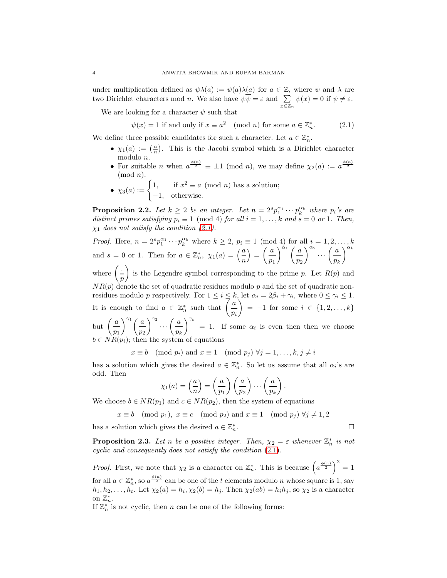under multiplication defined as  $\psi \lambda(a) := \psi(a)\lambda(a)$  for  $a \in \mathbb{Z}$ , where  $\psi$  and  $\lambda$  are two Dirichlet characters mod n. We also have  $\psi \psi = \varepsilon$  and  $\sum$  $x\in\mathbb{Z}_n$  $\psi(x) = 0$  if  $\psi \neq \varepsilon$ .

We are looking for a character  $\psi$  such that

<span id="page-3-0"></span> $\psi(x) = 1$  if and only if  $x \equiv a^2 \pmod{n}$  for some  $a \in \mathbb{Z}_n^*$  $(2.1)$ 

We define three possible candidates for such a character. Let  $a \in \mathbb{Z}_n^*$ .

- $\chi_1(a) := \left(\frac{a}{n}\right)$ . This is the Jacobi symbol which is a Dirichlet character modulo n.
- For suitable *n* when  $a^{\frac{\phi(n)}{2}} \equiv \pm 1 \pmod{n}$ , we may define  $\chi_2(a) := a^{\frac{\phi(n)}{2}}$  $(mod n).$
- $\chi_3(a) := \begin{cases} 1, & \text{if } x^2 \equiv a \pmod{n} \text{ has a solution;} \\ 1, & \text{otherwise.} \end{cases}$ −1, otherwise.

**Proposition 2.2.** Let  $k \geq 2$  be an integer. Let  $n = 2^s p_1^{\alpha_1} \cdots p_k^{\alpha_k}$  where  $p_i$ 's are distinct primes satisfying  $p_i \equiv 1 \pmod{4}$  for all  $i = 1, ..., k$  and  $s = 0$  or 1. Then,  $\chi_1$  does not satisfy the condition [\(2.1\)](#page-3-0).

*Proof.* Here,  $n = 2^s p_1^{\alpha_1} \cdots p_k^{\alpha_k}$  where  $k \ge 2$ ,  $p_i \equiv 1 \pmod{4}$  for all  $i = 1, 2, \ldots, k$ and  $s = 0$  or 1. Then for  $a \in \mathbb{Z}_n^*$ ,  $\chi_1(a) = \left(\frac{a}{n}\right)$  $=\left(\frac{a}{a}\right)$  $p_1$  $\int^{\alpha_1}$  ( a  $p<sub>2</sub>$  $a_1 \cdots \left( \frac{a_1}{a_1} \right)$ pk  $\bigwedge^{\alpha_k}$ where  $\left(\frac{1}{1}\right)$ is the Legendre symbol corresponding to the prime p. Let  $R(p)$  and

p  $NR(p)$  denote the set of quadratic residues modulo p and the set of quadratic nonresidues modulo p respectively. For  $1 \leq i \leq k$ , let  $\alpha_i = 2\beta_i + \gamma_i$ , where  $0 \leq \gamma_i \leq 1$ . It is enough to find  $a \in \mathbb{Z}_n^*$  such that  $\left( \frac{a}{a} \right)$ pi  $= -1$  for some  $i \in \{1, 2, ..., k\}$ but  $\left(\frac{a}{a}\right)$  $\overline{p}_1$  $\bigwedge^{\gamma_1}$  ( a  $\overline{p}_2$  $\bigcap^{\gamma_2} \cdots \bigg(\frac{a}{\cdot}\bigg)$ pk  $\int_{0}^{\gamma_k}$  = 1. If some  $\alpha_i$  is even then then we choose

 $b \in NR(p_i);$  then the system of equations

 $x \equiv b \pmod{p_i}$  and  $x \equiv 1 \pmod{p_j}$   $\forall j = 1, \ldots, k, j \neq i$ 

has a solution which gives the desired  $a \in \mathbb{Z}_n^*$ . So let us assume that all  $\alpha_i$ 's are odd. Then

$$
\chi_1(a) = \left(\frac{a}{n}\right) = \left(\frac{a}{p_1}\right)\left(\frac{a}{p_2}\right)\cdots\left(\frac{a}{p_k}\right).
$$

We choose  $b \in NR(p_1)$  and  $c \in NR(p_2)$ , then the system of equations

$$
x \equiv b \pmod{p_1}
$$
,  $x \equiv c \pmod{p_2}$  and  $x \equiv 1 \pmod{p_j}$   $\forall j \neq 1, 2$ 

has a solution which gives the desired  $a \in \mathbb{Z}_n^*$ 

**Proposition 2.3.** Let n be a positive integer. Then,  $\chi_2 = \varepsilon$  whenever  $\mathbb{Z}_n^*$  is not cyclic and consequently does not satisfy the condition [\(2.1\)](#page-3-0).

*Proof.* First, we note that  $\chi_2$  is a character on  $\mathbb{Z}_n^*$ . This is because  $\left(a^{\frac{\phi(n)}{2}}\right)^2 = 1$ for all  $a \in \mathbb{Z}_n^*$ , so  $a^{\frac{\phi(n)}{2}}$  can be one of the t elements modulo n whose square is 1, say  $h_1, h_2, \ldots, h_t$ . Let  $\chi_2(a) = h_i, \chi_2(b) = h_j$ . Then  $\chi_2(ab) = h_i h_j$ , so  $\chi_2$  is a character on  $\mathbb{Z}_n^*$ .

If  $\mathbb{Z}_n^*$  is not cyclic, then n can be one of the following forms:

$$
n^* \qquad \qquad \Box
$$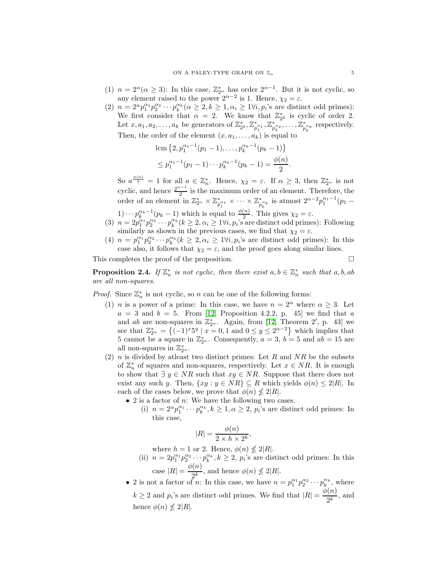- (1)  $n = 2^{\alpha} (\alpha \ge 3)$ : In this case,  $\mathbb{Z}_{2^{\alpha}}^{*}$  has order  $2^{\alpha-1}$ . But it is not cyclic, so any element raised to the power  $2^{\alpha-2}$  is 1. Hence,  $\chi_2 = \varepsilon$ .
- (2)  $n = 2^{\alpha} p_1^{\alpha_1} p_2^{\alpha_2} \cdots p_k^{\alpha_k} (\alpha \geq 2, k \geq 1, \alpha_i \geq 1 \forall i, p_i$ 's are distinct odd primes): We first consider that  $\alpha = 2$ . We know that  $\mathbb{Z}_{2^2}^*$  is cyclic of order 2. Let  $x, a_1, a_2, \ldots, a_k$  be generators of  $\mathbb{Z}_{2^2}^*, \mathbb{Z}_{p_1^{*}_{1}}^*, \mathbb{Z}_{p_2^{*}_{2}}^*, \ldots, \mathbb{Z}_{p_k^{*}_{k}}^*$  respectively. Then, the order of the element  $(x, a_1, \ldots, a_k)$  is equal to

$$
\operatorname{lcm}\nolimits \{2, p_1^{\alpha_1 - 1}(p_1 - 1), \dots, p_k^{\alpha_k - 1}(p_k - 1)\}\n \le p_1^{\alpha_1 - 1}(p_1 - 1) \cdots p_k^{\alpha_k - 1}(p_k - 1) = \frac{\phi(n)}{2}
$$

So  $a^{\frac{\phi(n)}{2}} = 1$  for all  $a \in \mathbb{Z}_n^*$ . Hence,  $\chi_2 = \varepsilon$ . If  $\alpha \geq 3$ , then  $\mathbb{Z}_{2^\alpha}^*$  is not cyclic, and hence  $\frac{2^{\alpha-1}}{2}$  $\frac{1}{2}$  is the maximum order of an element. Therefore, the order of an element in  $\mathbb{Z}_{2^{\alpha}}^* \times \mathbb{Z}_{p_1^{*_{\alpha_1}}}^* \times \cdots \times \mathbb{Z}_{p_k^{*_{\alpha_k}}}^*$  is atmost  $2^{\alpha-2}p_1^{\alpha_1-1}(p_1-p_2)$ 

.

 $1) \cdots p_k^{\alpha_k-1}(p_k-1)$  which is equal to  $\frac{\phi(n)}{2}$ . This gives  $\chi_2 = \varepsilon$ .

- (3)  $n = 2p_1^{\alpha_1}p_2^{\alpha_2} \cdots p_k^{\alpha_k}$   $(k \ge 2, \alpha_i \ge 1 \forall i, p_i$ 's are distinct odd primes): Following similarly as shown in the previous cases, we find that  $\chi_2 = \varepsilon$ .
- (4)  $n = p_1^{\alpha_1} p_2^{\alpha_2} \cdots p_k^{\alpha_k} (k \geq 2, \alpha_i \geq 1 \forall i, p_i$ 's are distinct odd primes): In this case also, it follows that  $\chi_2 = \varepsilon$ , and the proof goes along similar lines.

This completes the proof of the proposition.

<span id="page-4-0"></span>**Proposition 2.4.** If  $\mathbb{Z}_n^*$  is not cyclic, then there exist  $a, b \in \mathbb{Z}_n^*$  such that  $a, b, ab$ are all non-squares.

*Proof.* Since  $\mathbb{Z}_n^*$  is not cyclic, so n can be one of the following forms:

- (1) *n* is a power of a prime: In this case, we have  $n = 2^{\alpha}$  where  $\alpha \geq 3$ . Let  $a = 3$  and  $b = 5$ . From [\[12,](#page-20-13) Proposition 4.2.2, p. 45] we find that a and ab are non-squares in  $\mathbb{Z}_{2^{\alpha}}^{*}$ . Again, from [\[12,](#page-20-13) Theorem 2', p. 43] we see that  $\mathbb{Z}_{2^{\alpha}}^{*} = \{(-1)^{x}5^{y} \mid x = 0, 1 \text{ and } 0 \leq y \leq 2^{\alpha-2}\}\$  which implies that 5 cannot be a square in  $\mathbb{Z}_{2^{\alpha}}^{*}$ . Consequently,  $a = 3$ ,  $b = 5$  and  $ab = 15$  are all non-squares in  $\mathbb{Z}_{2^{\alpha}}^{*}$ .
- (2)  $n$  is divided by atleast two distinct primes: Let R and NR be the subsets of  $\mathbb{Z}_n^*$  of squares and non-squares, respectively. Let  $x \in NR$ . It is enough to show that  $\exists y \in NR$  such that  $xy \in NR$ . Suppose that there does not exist any such y. Then,  $\{xy : y \in NR\} \subseteq R$  which yields  $\phi(n) \leq 2|R|$ . In each of the cases below, we prove that  $\phi(n) \nleq 2|R|$ .
	- $\bullet$  2 is a factor of n: We have the following two cases.
		- (i)  $n = 2^{\alpha} p_1^{\alpha_1} \cdots p_k^{\alpha_k}, k \ge 1, \alpha \ge 2, p_i$ 's are distinct odd primes: In this case,

,

$$
|R| = \frac{\phi(n)}{2 \times h \times 2^k}
$$

where  $h = 1$  or 2. Hence,  $\phi(n) \nleq 2|R|$ .

- (ii)  $n = 2p_1^{\alpha_1}p_2^{\alpha_2} \cdots p_k^{\alpha_k}, k \ge 2, p_i$ 's are distinct odd primes: In this case  $|R| = \frac{\phi(n)}{2^k}$  $\frac{\sqrt{n}}{2^k}$ , and hence  $\phi(n) \nleq 2|R|.$
- 2 is not a factor of *n*: In this case, we have  $n = p_1^{\alpha_1} p_2^{\alpha_2} \cdots p_k^{\alpha_k}$ , where  $k \geq 2$  and  $p_i$ 's are distinct odd primes. We find that  $|R| = \frac{\phi(n)}{2k}$  $\frac{1}{2^k}$ , and hence  $\phi(n) \nleq 2|R|$ .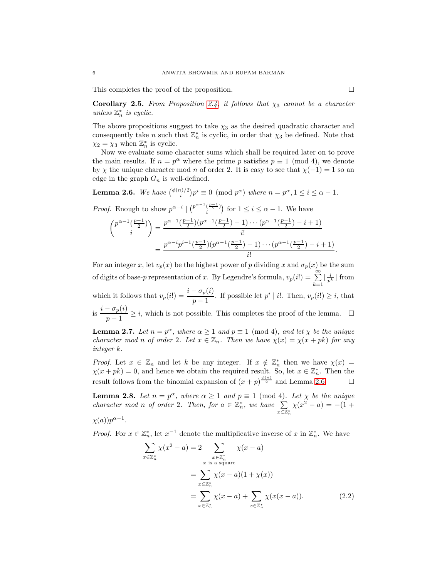This completes the proof of the proposition.  $\Box$ 

Corollary 2.5. From Proposition [2.4,](#page-4-0) it follows that  $\chi_3$  cannot be a character unless  $\mathbb{Z}_n^*$  is cyclic.

The above propositions suggest to take  $\chi_3$  as the desired quadratic character and consequently take *n* such that  $\mathbb{Z}_n^*$  is cyclic, in order that  $\chi_3$  be defined. Note that  $\chi_2 = \chi_3$  when  $\mathbb{Z}_n^*$  is cyclic.

Now we evaluate some character sums which shall be required later on to prove the main results. If  $n = p^{\alpha}$  where the prime p satisfies  $p \equiv 1 \pmod{4}$ , we denote by  $\chi$  the unique character mod n of order 2. It is easy to see that  $\chi(-1) = 1$  so an edge in the graph  $G_n$  is well-defined.

<span id="page-5-0"></span>**Lemma 2.6.** We have  $\binom{\phi(n)/2}{i}p^i \equiv 0 \pmod{p^{\alpha}}$  where  $n = p^{\alpha}, 1 \le i \le \alpha - 1$ .

*Proof.* Enough to show  $p^{\alpha-i} \mid \binom{p^{\alpha-1} \left(\frac{p-1}{2}\right)}{p}$  $\binom{\frac{p-1}{2}}{i}$  for  $1 \leq i \leq \alpha - 1$ . We have

$$
\begin{aligned}\n\binom{p^{\alpha-1}(\frac{p-1}{2})}{i} &= \frac{p^{\alpha-1}(\frac{p-1}{2})(p^{\alpha-1}(\frac{p-1}{2})-1)\cdots(p^{\alpha-1}(\frac{p-1}{2})-i+1)}{i!} \\
&= \frac{p^{\alpha-i}p^{i-1}(\frac{p-1}{2})(p^{\alpha-1}(\frac{p-1}{2})-1)\cdots(p^{\alpha-1}(\frac{p-1}{2})-i+1)}{i!}\n\end{aligned}
$$

For an integer x, let  $v_p(x)$  be the highest power of p dividing x and  $\sigma_p(x)$  be the sum of digits of base-p representation of x. By Legendre's formula,  $v_p(i!) = \sum_{k=1}^{\infty}$  $\lfloor \frac{i}{p^k} \rfloor$  from which it follows that  $v_p(i!) = \frac{i - \sigma_p(i)}{p - 1}$ . If possible let  $p^i | i!$ . Then,  $v_p(i!) \geq i$ , that is  $\frac{i - \sigma_p(i)}{1}$  $\frac{p - o_p(i)}{p - 1} \ge i$ , which is not possible. This completes the proof of the lemma.  $\Box$ 

<span id="page-5-3"></span>**Lemma 2.7.** Let  $n = p^{\alpha}$ , where  $\alpha \ge 1$  and  $p \equiv 1 \pmod{4}$ , and let  $\chi$  be the unique character mod n of order 2. Let  $x \in \mathbb{Z}_n$ . Then we have  $\chi(x) = \chi(x + pk)$  for any integer k.

*Proof.* Let  $x \in \mathbb{Z}_n$  and let k be any integer. If  $x \notin \mathbb{Z}_n^*$  then we have  $\chi(x) =$  $\chi(x+pk) = 0$ , and hence we obtain the required result. So, let  $x \in \mathbb{Z}_n^*$ . Then the result follows from the binomial expansion of  $(x+p)^{\frac{\phi(n)}{2}}$  and Lemma [2.6.](#page-5-0)

<span id="page-5-2"></span>**Lemma 2.8.** Let  $n = p^{\alpha}$ , where  $\alpha \ge 1$  and  $p \equiv 1 \pmod{4}$ . Let  $\chi$  be the unique character mod n of order 2. Then, for  $a \in \mathbb{Z}_n^*$ , we have  $\sum$  $x\overline{\in}\mathbb{Z}_{n}^{*}$  $\chi(x^2 - a) = -(1 +$ 

$$
\chi(a))p^{\alpha-1}.
$$

*Proof.* For  $x \in \mathbb{Z}_n^*$ , let  $x^{-1}$  denote the multiplicative inverse of x in  $\mathbb{Z}_n^*$ . We have

<span id="page-5-1"></span>
$$
\sum_{x \in \mathbb{Z}_n^*} \chi(x^2 - a) = 2 \sum_{\substack{x \in \mathbb{Z}_n^* \\ x \text{ is a square}}} \chi(x - a)
$$
\n
$$
= \sum_{x \in \mathbb{Z}_n^*} \chi(x - a)(1 + \chi(x))
$$
\n
$$
= \sum_{x \in \mathbb{Z}_n^*} \chi(x - a) + \sum_{x \in \mathbb{Z}_n^*} \chi(x(x - a)). \tag{2.2}
$$

.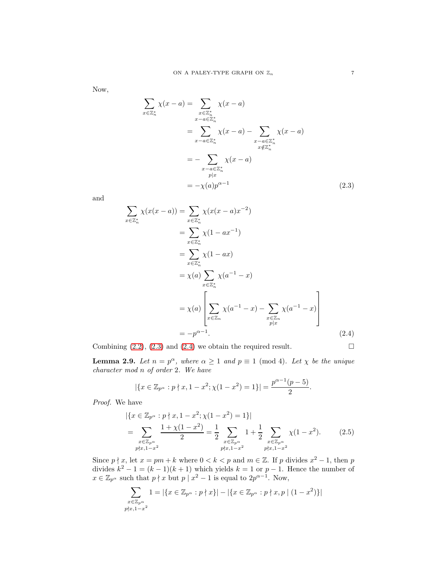Now,

$$
\sum_{x \in \mathbb{Z}_n^*} \chi(x - a) = \sum_{\substack{x \in \mathbb{Z}_n^* \\ x - a \in \mathbb{Z}_n^*}} \chi(x - a)
$$
\n
$$
= \sum_{x - a \in \mathbb{Z}_n^*} \chi(x - a) - \sum_{\substack{x - a \in \mathbb{Z}_n^* \\ x \notin \mathbb{Z}_n^*}} \chi(x - a)
$$
\n
$$
= - \sum_{\substack{x - a \in \mathbb{Z}_n^* \\ p | x}} \chi(x - a)
$$
\n
$$
= - \chi(a) p^{\alpha - 1}
$$
\n(2.3)

and

$$
\sum_{x \in \mathbb{Z}_n^*} \chi(x(x-a)) = \sum_{x \in \mathbb{Z}_n^*} \chi(x(x-a)x^{-2})
$$
  
\n
$$
= \sum_{x \in \mathbb{Z}_n^*} \chi(1 - ax^{-1})
$$
  
\n
$$
= \sum_{x \in \mathbb{Z}_n^*} \chi(1 - ax)
$$
  
\n
$$
= \chi(a) \sum_{x \in \mathbb{Z}_n^*} \chi(a^{-1} - x)
$$
  
\n
$$
= \chi(a) \left[ \sum_{x \in \mathbb{Z}_n} \chi(a^{-1} - x) - \sum_{x \in \mathbb{Z}_n} \chi(a^{-1} - x) \right]
$$
  
\n
$$
= -p^{\alpha - 1}.
$$
\n(2.4)

Combining  $(2.2)$ ,  $(2.3)$  and  $(2.4)$  we obtain the required result.

<span id="page-6-2"></span><span id="page-6-1"></span><span id="page-6-0"></span>

<span id="page-6-3"></span>**Lemma 2.9.** Let  $n = p^{\alpha}$ , where  $\alpha \ge 1$  and  $p \equiv 1 \pmod{4}$ . Let  $\chi$  be the unique character mod n of order 2. We have

$$
|\{x \in \mathbb{Z}_{p^{\alpha}} : p \nmid x, 1 - x^2; \chi(1 - x^2) = 1\}| = \frac{p^{\alpha - 1}(p - 5)}{2}.
$$

Proof. We have

$$
|\{x \in \mathbb{Z}_{p^{\alpha}} : p \nmid x, 1 - x^2; \chi(1 - x^2) = 1\}|
$$
\n
$$
= \sum_{\substack{x \in \mathbb{Z}_{p^{\alpha}} \\ p \nmid x, 1 - x^2}} \frac{1 + \chi(1 - x^2)}{2} = \frac{1}{2} \sum_{\substack{x \in \mathbb{Z}_{p^{\alpha}} \\ p \nmid x, 1 - x^2}} 1 + \frac{1}{2} \sum_{\substack{x \in \mathbb{Z}_{p^{\alpha}} \\ p \nmid x, 1 - x^2}} \chi(1 - x^2). \tag{2.5}
$$

Since  $p \nmid x$ , let  $x = pm + k$  where  $0 < k < p$  and  $m \in \mathbb{Z}$ . If p divides  $x^2 - 1$ , then p divides  $k^2 - 1 = (k-1)(k+1)$  which yields  $k = 1$  or  $p - 1$ . Hence the number of  $x \in \mathbb{Z}_{p^{\alpha}}$  such that  $p \nmid x$  but  $p \mid x^2 - 1$  is equal to  $2p^{\alpha-1}$ . Now,

$$
\sum_{\substack{x \in \mathbb{Z}_{p^{\alpha}} \\ p \nmid x, 1 - x^2}} 1 = |\{x \in \mathbb{Z}_{p^{\alpha}} : p \nmid x\}| - |\{x \in \mathbb{Z}_{p^{\alpha}} : p \nmid x, p \mid (1 - x^2)\}|
$$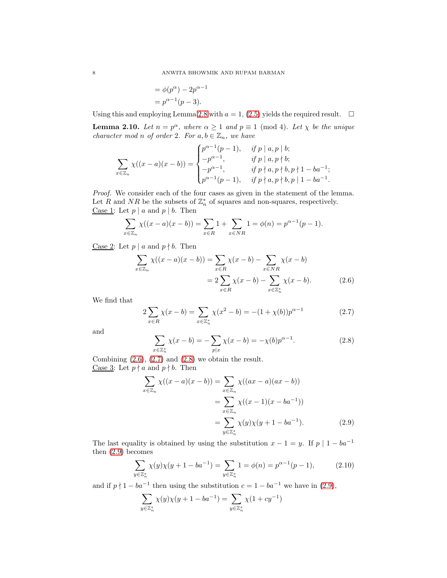$$
= \phi(p^{\alpha}) - 2p^{\alpha - 1}
$$

$$
= p^{\alpha - 1}(p - 3).
$$

Using this and employing Lemma [2.8](#page-5-2) with  $a = 1$ , [\(2.5\)](#page-6-2) yields the required result.  $\square$ 

<span id="page-7-4"></span>**Lemma 2.10.** Let  $n = p^{\alpha}$ , where  $\alpha \ge 1$  and  $p \equiv 1 \pmod{4}$ . Let  $\chi$  be the unique character mod n of order 2. For  $a, b \in \mathbb{Z}_n$ , we have

$$
\sum_{x \in \mathbb{Z}_n} \chi((x-a)(x-b)) = \begin{cases} p^{\alpha-1}(p-1), & \text{if } p \mid a, p \mid b; \\ -p^{\alpha-1}, & \text{if } p \mid a, p \nmid b; \\ -p^{\alpha-1}, & \text{if } p \nmid a, p \nmid b, p \nmid 1 - ba^{-1}; \\ p^{\alpha-1}(p-1), & \text{if } p \nmid a, p \nmid b, p \mid 1 - ba^{-1}. \end{cases}
$$

Proof. We consider each of the four cases as given in the statement of the lemma. Let R and NR be the subsets of  $\mathbb{Z}_n^*$  of squares and non-squares, respectively. Case 1: Let  $p \mid a$  and  $p \mid b$ . Then

$$
\sum_{x \in \mathbb{Z}_n} \chi((x-a)(x-b)) = \sum_{x \in R} 1 + \sum_{x \in NR} 1 = \phi(n) = p^{\alpha-1}(p-1).
$$

Case 2: Let  $p \mid a$  and  $p \nmid b$ . Then

$$
\sum_{x \in \mathbb{Z}_n} \chi((x-a)(x-b)) = \sum_{x \in R} \chi(x-b) - \sum_{x \in NR} \chi(x-b)
$$

$$
= 2 \sum_{x \in R} \chi(x-b) - \sum_{x \in \mathbb{Z}_n^*} \chi(x-b).
$$
(2.6)

We find that

<span id="page-7-1"></span>
$$
2\sum_{x \in R} \chi(x - b) = \sum_{x \in \mathbb{Z}_n^*} \chi(x^2 - b) = -(1 + \chi(b))p^{\alpha - 1}
$$
 (2.7)

and

<span id="page-7-2"></span><span id="page-7-0"></span>
$$
\sum_{x \in \mathbb{Z}_n^*} \chi(x - b) = -\sum_{p|x} \chi(x - b) = -\chi(b)p^{\alpha - 1}.
$$
 (2.8)

Combining  $(2.6)$ ,  $(2.7)$  and  $(2.8)$  we obtain the result. Case 3: Let  $p \nmid a$  and  $p \nmid b$ . Then

<span id="page-7-3"></span>
$$
\sum_{x \in \mathbb{Z}_n} \chi((x-a)(x-b)) = \sum_{x \in \mathbb{Z}_n} \chi((ax-a)(ax-b))
$$
  
= 
$$
\sum_{x \in \mathbb{Z}_n} \chi((x-1)(x-ba^{-1}))
$$
  
= 
$$
\sum_{y \in \mathbb{Z}_n^*} \chi(y)\chi(y+1-ba^{-1}).
$$
 (2.9)

The last equality is obtained by using the substitution  $x - 1 = y$ . If  $p | 1 - ba^{-1}$ then [\(2.9\)](#page-7-3) becomes

$$
\sum_{y \in \mathbb{Z}_n^*} \chi(y)\chi(y+1-ba^{-1}) = \sum_{y \in \mathbb{Z}_n^*} 1 = \phi(n) = p^{\alpha-1}(p-1),\tag{2.10}
$$

and if  $p \nmid 1 - ba^{-1}$  then using the substitution  $c = 1 - ba^{-1}$  we have in [\(2.9\)](#page-7-3),

$$
\sum_{y \in \mathbb{Z}_n^*} \chi(y)\chi(y+1-ba^{-1}) = \sum_{y \in \mathbb{Z}_n^*} \chi(1+cy^{-1})
$$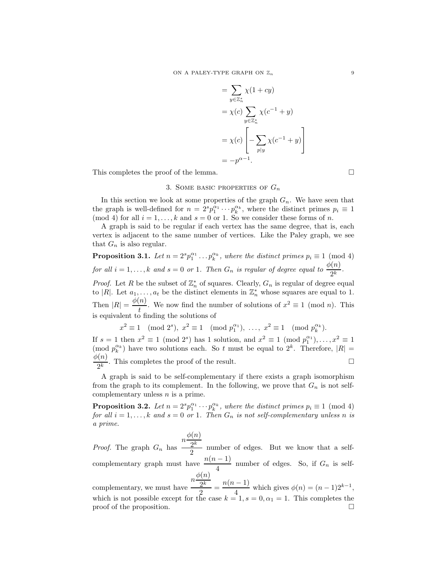$$
= \sum_{y \in \mathbb{Z}_n^*} \chi(1 + cy)
$$
  
=  $\chi(c) \sum_{y \in \mathbb{Z}_n^*} \chi(c^{-1} + y)$   
=  $\chi(c) \left[ -\sum_{p \mid y} \chi(c^{-1} + y) \right]$   
=  $-p^{\alpha - 1}$ .

This completes the proof of the lemma.

3. SOME BASIC PROPERTIES OF  $G_n$ 

In this section we look at some properties of the graph  $G_n$ . We have seen that the graph is well-defined for  $n = 2^s p_1^{\alpha_1} \cdots p_k^{\alpha_k}$ , where the distinct primes  $p_i \equiv 1$ (mod 4) for all  $i = 1, ..., k$  and  $s = 0$  or 1. So we consider these forms of n.

A graph is said to be regular if each vertex has the same degree, that is, each vertex is adjacent to the same number of vertices. Like the Paley graph, we see that  $G_n$  is also regular.

<span id="page-8-0"></span>**Proposition 3.1.** Let  $n = 2^s p_1^{\alpha_1} \dots p_k^{\alpha_k}$ , where the distinct primes  $p_i \equiv 1 \pmod{4}$ for all  $i = 1, ..., k$  and  $s = 0$  or 1. Then  $G_n$  is regular of degree equal to  $\frac{\phi(n)}{2^k}$ .

*Proof.* Let R be the subset of  $\mathbb{Z}_n^*$  of squares. Clearly,  $G_n$  is regular of degree equal to |R|. Let  $a_1, \ldots, a_t$  be the distinct elements in  $\mathbb{Z}_n^*$  whose squares are equal to 1. Then  $|R| = \frac{\phi(n)}{l}$  $\frac{u}{t}$ . We now find the number of solutions of  $x^2 \equiv 1 \pmod{n}$ . This is equivalent to finding the solutions of

$$
x^2 \equiv 1 \pmod{2^s}, \ x^2 \equiv 1 \pmod{p_1^{\alpha_1}}, \ \ldots, \ x^2 \equiv 1 \pmod{p_k^{\alpha_k}}.
$$

If  $s = 1$  then  $x^2 \equiv 1 \pmod{2^s}$  has 1 solution, and  $x^2 \equiv 1 \pmod{p_1^{\alpha_1}}, \ldots, x^2 \equiv 1$ (mod  $p_k^{\alpha_k}$ ) have two solutions each. So t must be equal to  $2^k$ . Therefore,  $|R|$  =  $\phi(n)$  $\frac{\mathcal{O}(h)}{2^k}$ . This completes the proof of the result.

A graph is said to be self-complementary if there exists a graph isomorphism from the graph to its complement. In the following, we prove that  $G_n$  is not selfcomplementary unless  $n$  is a prime.

**Proposition 3.2.** Let  $n = 2^s p_1^{\alpha_1} \cdots p_k^{\alpha_k}$ , where the distinct primes  $p_i \equiv 1 \pmod{4}$ for all  $i = 1, ..., k$  and  $s = 0$  or 1. Then  $G_n$  is not self-complementary unless n is a prime.

*Proof.* The graph  $G_n$  has  $n \frac{\phi(n)}{2k}$  $2^k$  $\frac{2^{n}}{2}$  number of edges. But we know that a selfcomplementary graph must have  $\frac{n(n-1)}{4}$  number of edges. So, if  $G_n$  is self $n \frac{\phi(n)}{2k}$ 

complementary, we must have  $2^k$  $\frac{2^k}{2^2} = \frac{n(n-1)}{4}$  $\frac{1}{4}$  which gives  $\phi(n) = (n-1)2^{k-1}$ , which is not possible except for the case  $k = 1, s = 0, \alpha_1 = 1$ . This completes the proof of the proposition.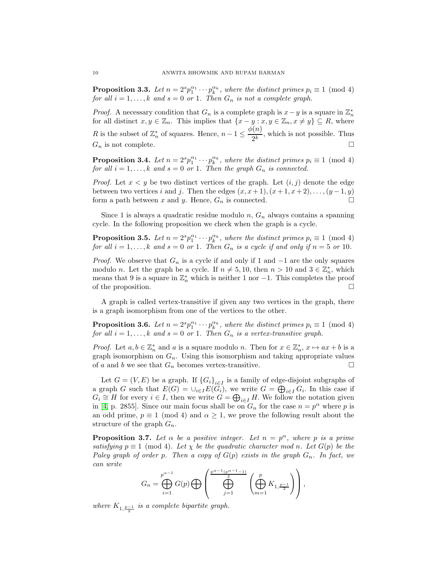**Proposition 3.3.** Let  $n = 2^s p_1^{\alpha_1} \cdots p_k^{\alpha_k}$ , where the distinct primes  $p_i \equiv 1 \pmod{4}$ for all  $i = 1, ..., k$  and  $s = 0$  or 1. Then  $G_n$  is not a complete graph.

*Proof.* A necessary condition that  $G_n$  is a complete graph is  $x - y$  is a square in  $\mathbb{Z}_n^*$ for all distinct  $x, y \in \mathbb{Z}_n$ . This implies that  $\{x - y : x, y \in \mathbb{Z}_n, x \neq y\} \subseteq R$ , where R is the subset of  $\mathbb{Z}_n^*$  of squares. Hence,  $n-1 \leq \frac{\phi(n)}{2^k}$  $\frac{1}{2^k}$ , which is not possible. Thus  $G_n$  is not complete.

**Proposition 3.4.** Let  $n = 2^s p_1^{\alpha_1} \cdots p_k^{\alpha_k}$ , where the distinct primes  $p_i \equiv 1 \pmod{4}$ for all  $i = 1, \ldots, k$  and  $s = 0$  or 1. Then the graph  $G_n$  is connected.

*Proof.* Let  $x < y$  be two distinct vertices of the graph. Let  $(i, j)$  denote the edge between two vertices i and j. Then the edges  $(x, x+1), (x+1, x+2), \ldots, (y-1, y)$ form a path between x and y. Hence,  $G_n$  is connected.  $\square$ 

Since 1 is always a quadratic residue modulo  $n$ ,  $G_n$  always contains a spanning cycle. In the following proposition we check when the graph is a cycle.

**Proposition 3.5.** Let  $n = 2^s p_1^{\alpha_1} \cdots p_k^{\alpha_k}$ , where the distinct primes  $p_i \equiv 1 \pmod{4}$ for all  $i = 1, ..., k$  and  $s = 0$  or 1. Then  $G_n$  is a cycle if and only if  $n = 5$  or 10.

*Proof.* We observe that  $G_n$  is a cycle if and only if 1 and  $-1$  are the only squares modulo *n*. Let the graph be a cycle. If  $n \neq 5, 10$ , then  $n > 10$  and  $3 \in \mathbb{Z}_n^*$ , which means that 9 is a square in  $\mathbb{Z}_n^*$  which is neither 1 nor -1. This completes the proof of the proposition.

A graph is called vertex-transitive if given any two vertices in the graph, there is a graph isomorphism from one of the vertices to the other.

<span id="page-9-0"></span>**Proposition 3.6.** Let  $n = 2^s p_1^{\alpha_1} \cdots p_k^{\alpha_k}$ , where the distinct primes  $p_i \equiv 1 \pmod{4}$ for all  $i = 1, ..., k$  and  $s = 0$  or 1. Then  $G_n$  is a vertex-transitive graph.

*Proof.* Let  $a, b \in \mathbb{Z}_n^*$  and  $a$  is a square modulo  $n$ . Then for  $x \in \mathbb{Z}_n^*$ ,  $x \mapsto ax + b$  is a graph isomorphism on  $G_n$ . Using this isomorphism and taking appropriate values of a and b we see that  $G_n$  becomes vertex-transitive.

Let  $G = (V, E)$  be a graph. If  ${G_i}_{i \in I}$  is a family of edge-disjoint subgraphs of a graph G such that  $E(G) = \bigcup_{i \in I} E(G_i)$ , we write  $G = \bigoplus_{i \in I} G_i$ . In this case if  $G_i \cong H$  for every  $i \in I$ , then we write  $G = \bigoplus_{i \in I} H$ . We follow the notation given in [\[4,](#page-20-14) p. 2855]. Since our main focus shall be on  $G_n$  for the case  $n = p^{\alpha}$  where p is an odd prime,  $p \equiv 1 \pmod{4}$  and  $\alpha \geq 1$ , we prove the following result about the structure of the graph  $G_n$ .

**Proposition 3.7.** Let  $\alpha$  be a positive integer. Let  $n = p^{\alpha}$ , where p is a prime satisfying  $p \equiv 1 \pmod{4}$ . Let  $\chi$  be the quadratic character mod n. Let  $G(p)$  be the Paley graph of order p. Then a copy of  $G(p)$  exists in the graph  $G_n$ . In fact, we can write

$$
G_n=\bigoplus_{i=1}^{p^{\alpha-1}}G(p)\bigoplus \left(\bigoplus_{j=1}^{\frac{p^{\alpha-1}(p^{\alpha-1}-1)}{2}}\left(\bigoplus_{m=1}^{p}K_{1,\frac{p-1}{2}}\right)\right),
$$

where  $K_{1, \frac{p-1}{2}}$  is a complete bipartite graph.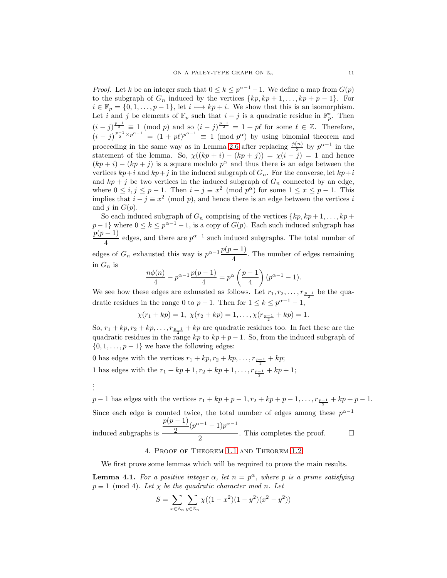*Proof.* Let k be an integer such that  $0 \le k \le p^{\alpha-1} - 1$ . We define a map from  $G(p)$ to the subgraph of  $G_n$  induced by the vertices  $\{kp, kp + 1, \ldots, kp + p - 1\}$ . For  $i \in \mathbb{F}_p = \{0, 1, \ldots, p-1\}, \text{ let } i \longmapsto kp + i. \text{ We show that this is an isomorphism.}$ Let i and j be elements of  $\mathbb{F}_p$  such that  $i - j$  is a quadratic residue in  $\mathbb{F}_p^*$ . Then  $(i-j)^{\frac{p-1}{2}} \equiv 1 \pmod{p}$  and so  $(i-j)^{\frac{p-1}{2}} = 1 + p\ell$  for some  $\ell \in \mathbb{Z}$ . Therefore,  $(i-j)^{\frac{p-1}{2}\times p^{\alpha-1}} = (1+p\ell)^{p^{\alpha-1}} \equiv 1 \pmod{p^{\alpha}}$  by using binomial theorem and proceeding in the same way as in Lemma [2.6](#page-5-0) after replacing  $\frac{\phi(n)}{2}$  by  $p^{\alpha-1}$  in the statement of the lemma. So,  $\chi((kp + i) - (kp + j)) = \chi(i - j) = 1$  and hence  $(kp + i) - (kp + j)$  is a square modulo  $p^{\alpha}$  and thus there is an edge between the vertices  $kp+i$  and  $kp+j$  in the induced subgraph of  $G_n$ . For the converse, let  $kp+i$ and  $kp + j$  be two vertices in the induced subgraph of  $G_n$  connected by an edge, where  $0 \le i, j \le p-1$ . Then  $i - j \equiv x^2 \pmod{p^{\alpha}}$  for some  $1 \le x \le p-1$ . This implies that  $i - j \equiv x^2 \pmod{p}$ , and hence there is an edge between the vertices i and j in  $G(p)$ .

So each induced subgraph of  $G_n$  comprising of the vertices  $\{kp, kp+1, \ldots, kp+\}$  $p-1$ } where  $0 \leq k \leq p^{\alpha-1}-1$ , is a copy of  $G(p)$ . Each such induced subgraph has  $p(p-1)$  $\frac{1}{4}$  edges, and there are  $p^{\alpha-1}$  such induced subgraphs. The total number of edges of  $G_n$  exhausted this way is  $p^{\alpha-1} \frac{p(p-1)}{4}$  $\frac{1}{4}$ . The number of edges remaining in  $G_n$  is

$$
\frac{n\phi(n)}{4} - p^{\alpha - 1} \frac{p(p-1)}{4} = p^{\alpha} \left(\frac{p-1}{4}\right) (p^{\alpha - 1} - 1).
$$

We see how these edges are exhuasted as follows. Let  $r_1, r_2, \ldots, r_{\frac{p-1}{2}}$  be the quadratic residues in the range 0 to  $p-1$ . Then for  $1 \leq k \leq p^{\alpha-1}-1$ ,

$$
\chi(r_1 + kp) = 1, \ \chi(r_2 + kp) = 1, \dots, \chi(r_{\frac{p-1}{2}} + kp) = 1.
$$

So,  $r_1 + kp, r_2 + kp, \ldots, r_{\frac{p-1}{2}} + kp$  are quadratic residues too. In fact these are the quadratic residues in the range kp to  $kp + p - 1$ . So, from the induced subgraph of  $\{0, 1, \ldots, p-1\}$  we have the following edges:

0 has edges with the vertices  $r_1 + kp, r_2 + kp, \ldots, r_{\frac{p-1}{2}} + kp;$ 1 has edges with the  $r_1 + kp + 1, r_2 + kp + 1, \ldots, r_{\frac{p-1}{2}} + kp + 1;$ 

. . .

 $p-1$  has edges with the vertices  $r_1 + kp + p - 1, r_2 + kp + p - 1, \ldots, r_{\frac{p-1}{2}} + kp + p - 1.$ Since each edge is counted twice, the total number of edges among these  $p^{\alpha-1}$ induced subgraphs is  $p(p-1)$  $\frac{(2-p)(p^{\alpha-1}-1)p^{\alpha-1}}{2}$  $\frac{1}{2}$ . This completes the proof.  $\Box$ 

# 4. Proof of Theorem [1.1](#page-1-0) and Theorem [1.2](#page-2-1)

We first prove some lemmas which will be required to prove the main results.

<span id="page-10-0"></span>**Lemma 4.1.** For a positive integer  $\alpha$ , let  $n = p^{\alpha}$ , where p is a prime satisfying  $p \equiv 1 \pmod{4}$ . Let  $\chi$  be the quadratic character mod n. Let

$$
S = \sum_{x \in \mathbb{Z}_n} \sum_{y \in \mathbb{Z}_n} \chi((1 - x^2)(1 - y^2)(x^2 - y^2))
$$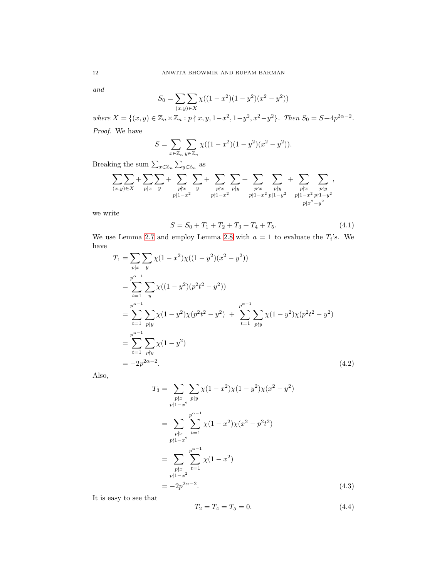and

$$
S_0 = \sum_{(x,y)\in X} \chi((1-x^2)(1-y^2)(x^2-y^2))
$$

where  $X = \{(x, y) \in \mathbb{Z}_n \times \mathbb{Z}_n : p \nmid x, y, 1-x^2, 1-y^2, x^2-y^2\}$ . Then  $S_0 = S + 4p^{2\alpha - 2}$ .

Proof. We have

$$
S = \sum_{x \in \mathbb{Z}_n} \sum_{y \in \mathbb{Z}_n} \chi((1 - x^2)(1 - y^2)(x^2 - y^2)).
$$

Breaking the sum  $\sum_{x \in \mathbb{Z}_n} \sum_{y \in \mathbb{Z}_n}$  as

$$
\sum_{(x,y)\in X} + \sum_{p|x} \sum_y + \sum_{\substack{p\nmid x \\ p|1-x^2}} \sum_y + \sum_{\substack{p\nmid x \\ p\nmid 1-x^2}} \sum_{p|y} + \sum_{\substack{p\nmid x \\ p\nmid 1-x^2}} \sum_{\substack{p\nmid y \\ p|1-y^2}} + \sum_{\substack{p\nmid x \\ p\nmid 1-y^2}} \sum_{\substack{p\nmid x \\ p\nmid 1-y^2}} ,
$$

we write

<span id="page-11-3"></span>
$$
S = S_0 + T_1 + T_2 + T_3 + T_4 + T_5. \tag{4.1}
$$

We use Lemma [2.7](#page-5-3) and employ Lemma [2.8](#page-5-2) with  $a = 1$  to evaluate the  $T_i$ 's. We have

$$
T_1 = \sum_{p|x} \sum_{y} \chi(1 - x^2) \chi((1 - y^2)(x^2 - y^2))
$$
  
\n
$$
= \sum_{t=1}^{p^{\alpha - 1}} \sum_{y} \chi((1 - y^2)(p^2 t^2 - y^2))
$$
  
\n
$$
= \sum_{t=1}^{p^{\alpha - 1}} \sum_{p|y} \chi(1 - y^2) \chi(p^2 t^2 - y^2) + \sum_{t=1}^{p^{\alpha - 1}} \sum_{p\nmid y} \chi(1 - y^2) \chi(p^2 t^2 - y^2)
$$
  
\n
$$
= \sum_{t=1}^{p^{\alpha - 1}} \sum_{p\nmid y} \chi(1 - y^2)
$$
  
\n
$$
= -2p^{2\alpha - 2}.
$$
 (4.2)

Also,

<span id="page-11-0"></span>
$$
T_3 = \sum_{\substack{p \nmid x \\ p \nmid 1 - x^2}} \sum_{\substack{p \mid y \\ p \nmid 1 - x^2}} \chi(1 - x^2) \chi(1 - y^2) \chi(x^2 - y^2)
$$
  
= 
$$
\sum_{\substack{p \nmid x \\ p \nmid 1 - x^2}} \sum_{t=1}^{p^{\alpha - 1}} \chi(1 - x^2) \chi(x^2 - p^2 t^2)
$$
  
= 
$$
\sum_{\substack{p \nmid x \\ p \nmid 1 - x^2}} \sum_{t=1}^{p^{\alpha - 1}} \chi(1 - x^2)
$$
  
= 
$$
-2p^{2\alpha - 2}.
$$
 (4.3)

It is easy to see that

<span id="page-11-2"></span><span id="page-11-1"></span>
$$
T_2 = T_4 = T_5 = 0.\t\t(4.4)
$$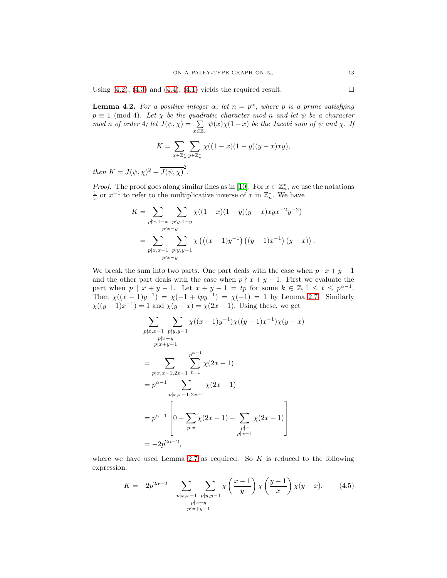Using  $(4.2)$ ,  $(4.3)$  and  $(4.4)$ ,  $(4.1)$  yields the required result.

<span id="page-12-1"></span>**Lemma 4.2.** For a positive integer  $\alpha$ , let  $n = p^{\alpha}$ , where p is a prime satisfying  $p \equiv 1 \pmod{4}$ . Let  $\chi$  be the quadratic character mod n and let  $\psi$  be a character mod n of order 4; let  $J(\psi, \chi) = \sum$  $x \in \mathbb{Z}_n$  $\psi(x)\chi(1-x)$  be the Jacobi sum of  $\psi$  and  $\chi$ . If

$$
K = \sum_{x \in \mathbb{Z}_n^*} \sum_{y \in \mathbb{Z}_n^*} \chi((1-x)(1-y)(y-x)xy),
$$

then  $K = J(\psi, \chi)^2 + \overline{J(\psi, \chi)}^2$ .

*Proof.* The proof goes along similar lines as in [\[10\]](#page-20-6). For  $x \in \mathbb{Z}_n^*$ , we use the notations  $\frac{1}{x}$  or  $x^{-1}$  to refer to the multiplicative inverse of x in  $\mathbb{Z}_n^*$ . We have

$$
K = \sum_{p \nmid x, 1-x} \sum_{\substack{p \nmid y, 1-y \\ p \nmid x-y}} \chi((1-x)(1-y)(y-x)xyx^{-2}y^{-2})
$$
  
= 
$$
\sum_{p \nmid x, x-1} \sum_{\substack{p \nmid y, y-1 \\ p \nmid x-y}} \chi((x-1)y^{-1})(y-x)x^{-1})(y-x)
$$

We break the sum into two parts. One part deals with the case when  $p | x + y - 1$ and the other part deals with the case when  $p \nmid x + y - 1$ . First we evaluate the part when  $p \mid x + y - 1$ . Let  $x + y - 1 = tp$  for some  $k \in \mathbb{Z}, 1 \le t \le p^{\alpha - 1}$ . Then  $\chi((x-1)y^{-1}) = \chi(-1 + typ^{-1}) = \chi(-1) = 1$  by Lemma [2.7.](#page-5-3) Similarly  $\chi((y-1)x^{-1}) = 1$  and  $\chi(y-x) = \chi(2x-1)$ . Using these, we get

$$
\sum_{p \nmid x, x-1} \sum_{\substack{p \nmid y, y-1 \\ p \nmid x+y-1}} \chi((x-1)y^{-1}) \chi((y-1)x^{-1}) \chi(y-x)
$$
\n
$$
= \sum_{\substack{p \nmid x, x-1, 2x-1 \\ p \nmid x, x-1, 2x-1}} \sum_{t=1}^{p^{\alpha-1}} \chi(2x-1)
$$
\n
$$
= p^{\alpha-1} \sum_{\substack{p \nmid x, x-1, 2x-1 \\ p \mid x}} \chi(2x-1)
$$
\n
$$
= p^{\alpha-1} \left[ 0 - \sum_{p \mid x} \chi(2x-1) - \sum_{\substack{p \nmid x \\ p \mid x-1}} \chi(2x-1) \right]
$$
\n
$$
= -2p^{2\alpha-2},
$$

where we have used Lemma [2.7](#page-5-3) as required. So  $K$  is reduced to the following expression.

<span id="page-12-0"></span>
$$
K = -2p^{2\alpha - 2} + \sum_{\substack{p \nmid x, x-1 \\ p \nmid x-y \\ p \nmid x+y-1}} \sum_{\substack{p \nmid y, y-1 \\ p \nmid x+y-1}} \chi\left(\frac{x-1}{y}\right) \chi\left(\frac{y-1}{x}\right) \chi(y-x). \tag{4.5}
$$

.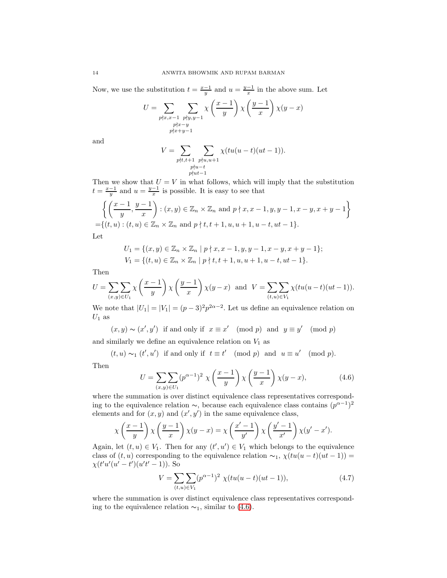Now, we use the substitution  $t = \frac{x-1}{y}$  and  $u = \frac{y-1}{x}$  in the above sum. Let

$$
U = \sum_{\substack{p \nmid x, x-1 \\ p \nmid x-y \\ p \nmid x+y-1}} \sum_{\substack{p \nmid y, y-1 \\ p \nmid x+y-1}} \chi \left( \frac{x-1}{y} \right) \chi \left( \frac{y-1}{x} \right) \chi(y-x)
$$

and

$$
V = \sum_{\substack{pt,t+1 \ p\nmid u-t}} \sum_{\substack{ptu,u+1 \ p\nmid ut-1}} \chi(tu(u-t)(ut-1)).
$$

Then we show that  $U = V$  in what follows, which will imply that the substitution  $t = \frac{x-1}{y}$  and  $u = \frac{y-1}{x}$  is possible. It is easy to see that

$$
\left\{ \left( \frac{x-1}{y}, \frac{y-1}{x} \right) : (x, y) \in \mathbb{Z}_n \times \mathbb{Z}_n \text{ and } p \nmid x, x-1, y, y-1, x-y, x+y-1 \right\}
$$
  
=\{(t, u) : (t, u) \in \mathbb{Z}\_n \times \mathbb{Z}\_n \text{ and } p \nmid t, t+1, u, u+1, u-t, ut-1\}.

Let

$$
U_1 = \{(x, y) \in \mathbb{Z}_n \times \mathbb{Z}_n \mid p \nmid x, x - 1, y, y - 1, x - y, x + y - 1\};
$$
  
\n
$$
V_1 = \{(t, u) \in \mathbb{Z}_n \times \mathbb{Z}_n \mid p \nmid t, t + 1, u, u + 1, u - t, ut - 1\}.
$$

Then

$$
U = \sum_{(x,y)\in U_1} \chi\left(\frac{x-1}{y}\right) \chi\left(\frac{y-1}{x}\right) \chi(y-x) \text{ and } V = \sum_{(t,u)\in V_1} \chi(tu(u-t)(ut-1)).
$$

We note that  $|U_1| = |V_1| = (p-3)^2 p^{2\alpha-2}$ . Let us define an equivalence relation on  $U_1$  as

$$
(x, y) \sim (x', y')
$$
 if and only if  $x \equiv x'$  (mod  $p$ ) and  $y \equiv y'$  (mod  $p$ )  
similarly we define an equivalence relation on  $V$ , as

and similarly we define an equivalence relation on  $V_1$  as

$$
(t, u) \sim_1 (t', u')
$$
 if and only if  $t \equiv t'$  (mod  $p$ ) and  $u \equiv u'$  (mod  $p$ ).

Then

<span id="page-13-0"></span>
$$
U = \sum_{(x,y)\in U_1} (p^{\alpha-1})^2 \chi\left(\frac{x-1}{y}\right) \chi\left(\frac{y-1}{x}\right) \chi(y-x), \tag{4.6}
$$

where the summation is over distinct equivalence class representatives corresponding to the equivalence relation  $\sim$ , because each equivalence class contains  $(p^{\alpha-1})^2$ elements and for  $(x, y)$  and  $(x', y')$  in the same equivalence class,

$$
\chi\left(\frac{x-1}{y}\right)\chi\left(\frac{y-1}{x}\right)\chi(y-x)=\chi\left(\frac{x'-1}{y'}\right)\chi\left(\frac{y'-1}{x'}\right)\chi(y'-x').
$$

Again, let  $(t, u) \in V_1$ . Then for any  $(t', u') \in V_1$  which belongs to the equivalence class of  $(t, u)$  corresponding to the equivalence relation  $\sim_1$ ,  $\chi(tu(u - t)(ut - 1)) =$  $\chi(t'u'(u'-t')(u't'-1)).$  So

<span id="page-13-1"></span>
$$
V = \sum_{(t,u)\in V_1} (p^{\alpha-1})^2 \ \chi(tu(u-t)(ut-1)),\tag{4.7}
$$

where the summation is over distinct equivalence class representatives corresponding to the equivalence relation  $\sim_1$ , similar to [\(4.6\)](#page-13-0).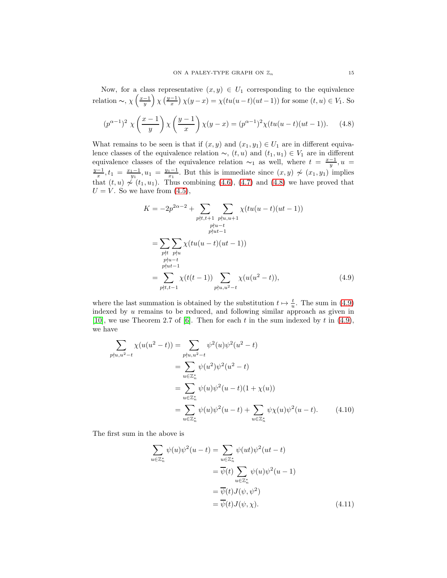Now, for a class representative  $(x, y) \in U_1$  corresponding to the equivalence relation ~,  $\chi\left(\frac{x-1}{y}\right)\chi\left(\frac{y-1}{x}\right)\chi(y-x) = \chi(tu(u-t)(ut-1))$  for some  $(t, u) \in V_1$ . So

<span id="page-14-0"></span>
$$
(p^{\alpha-1})^2 \chi\left(\frac{x-1}{y}\right) \chi\left(\frac{y-1}{x}\right) \chi(y-x) = (p^{\alpha-1})^2 \chi(tu(u-t)(ut-1)). \tag{4.8}
$$

What remains to be seen is that if  $(x, y)$  and  $(x_1, y_1) \in U_1$  are in different equivalence classes of the equivalence relation  $\sim$ ,  $(t, u)$  and  $(t_1, u_1) \in V_1$  are in different equivalence classes of the equivalence relation  $\sim_1$  as well, where  $t = \frac{x-1}{y}, u =$  $\frac{y-1}{x}$ ,  $t_1 = \frac{x_1-1}{y_1}$ ,  $u_1 = \frac{y_1-1}{x_1}$ . But this is immediate since  $(x, y) \nsim (x_1, y_1)$  implies that  $(t, u) \nsim (t_1, u_1)$ . Thus combining  $(4.6)$ ,  $(4.7)$  and  $(4.8)$  we have proved that  $U = V$ . So we have from  $(4.5)$ ,

<span id="page-14-1"></span>
$$
K = -2p^{2\alpha - 2} + \sum_{\substack{pt, t+1 \ p\nmid u, u+1}} \sum_{\substack{pt, u+1 \ p\nmid u-t}} \chi(tu(u-t)(ut-1))
$$
  
= 
$$
\sum_{\substack{pt \ p\nmid u-t \ p\nmid u-t}} \sum_{\substack{pt; u-t \ p\nmid u-t \ p\nmid u+1}} \chi(tu(u-t)(ut-1))
$$
  
= 
$$
\sum_{\substack{pt, t+1 \ p\nmid t, t-1}} \chi(t(t-1)) \sum_{\substack{pt; u, u^2-t}} \chi(u(u^2-t)),
$$
 (4.9)

where the last summation is obtained by the substitution  $t \mapsto \frac{t}{u}$ . The sum in [\(4.9\)](#page-14-1) indexed by u remains to be reduced, and following similar approach as given in [\[10\]](#page-20-6), we use Theorem 2.7 of [\[6\]](#page-20-15). Then for each  $t$  in the sum indexed by  $t$  in [\(4.9\)](#page-14-1), we have

$$
\sum_{p \nmid u, u^2 - t} \chi(u(u^2 - t)) = \sum_{p \nmid u, u^2 - t} \psi^2(u)\psi^2(u^2 - t)
$$
\n
$$
= \sum_{u \in \mathbb{Z}_n^*} \psi(u^2)\psi^2(u^2 - t)
$$
\n
$$
= \sum_{u \in \mathbb{Z}_n^*} \psi(u)\psi^2(u - t)(1 + \chi(u))
$$
\n
$$
= \sum_{u \in \mathbb{Z}_n^*} \psi(u)\psi^2(u - t) + \sum_{u \in \mathbb{Z}_n^*} \psi\chi(u)\psi^2(u - t). \tag{4.10}
$$

The first sum in the above is

<span id="page-14-3"></span><span id="page-14-2"></span>
$$
\sum_{u \in \mathbb{Z}_n^*} \psi(u)\psi^2(u-t) = \sum_{u \in \mathbb{Z}_n^*} \psi(u t)\psi^2(u t-t)
$$

$$
= \overline{\psi}(t) \sum_{u \in \mathbb{Z}_n^*} \psi(u)\psi^2(u - 1)
$$

$$
= \overline{\psi}(t) J(\psi, \psi^2)
$$

$$
= \overline{\psi}(t) J(\psi, \chi).
$$
(4.11)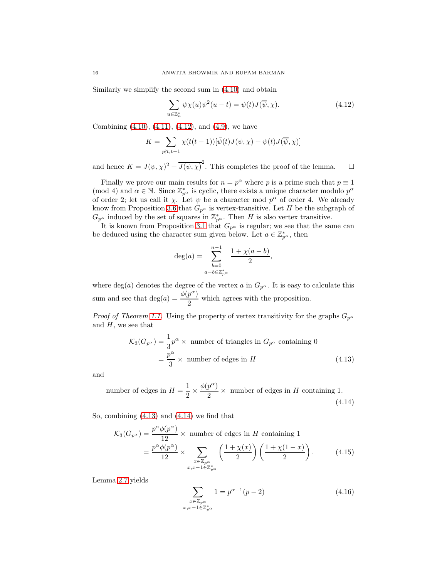Similarly we simplify the second sum in [\(4.10\)](#page-14-2) and obtain

<span id="page-15-0"></span>
$$
\sum_{u \in \mathbb{Z}_n^*} \psi \chi(u) \psi^2(u - t) = \psi(t) J(\overline{\psi}, \chi). \tag{4.12}
$$

Combining [\(4.10\)](#page-14-2), [\(4.11\)](#page-14-3), [\(4.12\)](#page-15-0), and [\(4.9\)](#page-14-1), we have

$$
K = \sum_{p \nmid t, t-1} \chi(t(t-1))[\bar{\psi}(t)J(\psi, \chi) + \psi(t)J(\overline{\psi}, \chi)]
$$

and hence  $K = J(\psi, \chi)^2 + \overline{J(\psi, \chi)}^2$ . This completes the proof of the lemma.  $\square$ 

Finally we prove our main results for  $n = p^{\alpha}$  where p is a prime such that  $p \equiv 1$ (mod 4) and  $\alpha \in \mathbb{N}$ . Since  $\mathbb{Z}_{p^{\alpha}}^{*}$  is cyclic, there exists a unique character modulo  $p^{\alpha}$ of order 2; let us call it  $\chi$ . Let  $\psi$  be a character mod  $p^{\alpha}$  of order 4. We already know from Proposition [3.6](#page-9-0) that  $G_{p^{\alpha}}$  is vertex-transitive. Let H be the subgraph of  $G_{p^{\alpha}}$  induced by the set of squares in  $\mathbb{Z}_{p^{\alpha}}^{*}$ . Then H is also vertex transitive.

It is known from Proposition [3.1](#page-8-0) that  $G_{p^{\alpha}}$  is regular; we see that the same can be deduced using the character sum given below. Let  $a \in \mathbb{Z}_{p^{\alpha}}^*$ , then

<span id="page-15-1"></span>
$$
\deg(a) = \sum_{b=0}^{n-1} \frac{1 + \chi(a-b)}{2},
$$
  

$$
a - b \in \mathbb{Z}_{p}^{*}
$$

where deg(a) denotes the degree of the vertex a in  $G_{p^{\alpha}}$ . It is easy to calculate this sum and see that  $deg(a) = \frac{\phi(p^{\alpha})}{2}$  $\frac{P}{2}$  which agrees with the proposition.

*Proof of Theorem [1.1.](#page-1-0)* Using the property of vertex transitivity for the graphs  $G_{p^{\alpha}}$ and  $H$ , we see that

$$
\mathcal{K}_3(G_{p^{\alpha}}) = \frac{1}{3}p^{\alpha} \times \text{ number of triangles in } G_{p^{\alpha}} \text{ containing } 0
$$

$$
= \frac{p^{\alpha}}{3} \times \text{ number of edges in } H \tag{4.13}
$$

and

number of edges in 
$$
H = \frac{1}{2} \times \frac{\phi(p^{\alpha})}{2} \times
$$
 number of edges in *H* containing 1. (4.14)

So, combining [\(4.13\)](#page-15-1) and [\(4.14\)](#page-15-2) we find that

$$
\mathcal{K}_3(G_{p^{\alpha}}) = \frac{p^{\alpha}\phi(p^{\alpha})}{12} \times \text{ number of edges in } H \text{ containing } 1
$$

$$
= \frac{p^{\alpha}\phi(p^{\alpha})}{12} \times \sum_{\substack{x \in \mathbb{Z}_{p^{\alpha}} \\ x, x-1 \in \mathbb{Z}_{p^{\alpha}}^*}} \left(\frac{1+\chi(x)}{2}\right) \left(\frac{1+\chi(1-x)}{2}\right). \tag{4.15}
$$

Lemma [2.7](#page-5-3) yields

<span id="page-15-4"></span><span id="page-15-3"></span><span id="page-15-2"></span>
$$
\sum_{\substack{x \in \mathbb{Z}_{p^{\alpha}} \\ x, x - 1 \in \mathbb{Z}_{p^{\alpha}}^*}} 1 = p^{\alpha - 1}(p - 2)
$$
\n(4.16)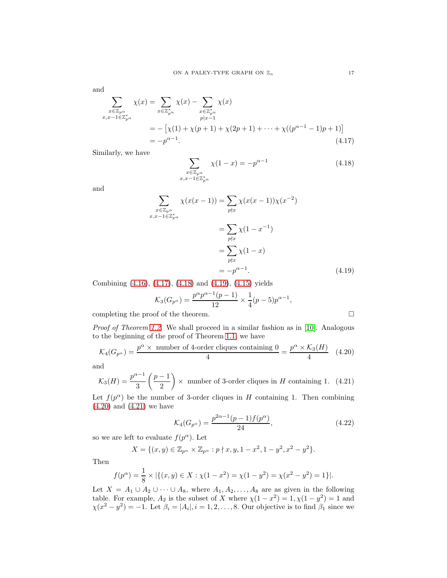and

$$
\sum_{\substack{x \in \mathbb{Z}_{p^{\alpha}} \\ x, x-1 \in \mathbb{Z}_{p^{\alpha}}^*}} \chi(x) = \sum_{x \in \mathbb{Z}_{p^{\alpha}}^*} \chi(x) - \sum_{\substack{x \in \mathbb{Z}_{p^{\alpha}}^* \\ p|x-1}} \chi(x)
$$
\n
$$
= -\left[\chi(1) + \chi(p+1) + \chi(2p+1) + \dots + \chi((p^{\alpha-1}-1)p+1)\right]
$$
\n
$$
= -p^{\alpha-1}.
$$
\n(4.17)

Similarly, we have

<span id="page-16-1"></span><span id="page-16-0"></span>
$$
\sum_{\substack{x \in \mathbb{Z}_{p^{\alpha}} \\ x, x-1 \in \mathbb{Z}_{p^{\alpha}}^{*}}} \chi(1-x) = -p^{\alpha-1}
$$
\n(4.18)

and

$$
\sum_{\substack{x \in \mathbb{Z}_{p^{\alpha}} \\ x, x-1 \in \mathbb{Z}_{p^{\alpha}}^*}} \chi(x(x-1)) = \sum_{p \nmid x} \chi(x(x-1)) \chi(x^{-2})
$$
\n
$$
= \sum_{p \nmid x} \chi(1-x^{-1})
$$
\n
$$
= \sum_{p \nmid x} \chi(1-x)
$$
\n
$$
= -p^{\alpha-1}.
$$
\n(4.19)

Combining [\(4.16\)](#page-15-3), [\(4.17\)](#page-16-0), [\(4.18\)](#page-16-1) and [\(4.19\)](#page-16-2), [\(4.15\)](#page-15-4) yields

<span id="page-16-2"></span>
$$
\mathcal{K}_3(G_{p^{\alpha}}) = \frac{p^{\alpha}p^{\alpha-1}(p-1)}{12} \times \frac{1}{4}(p-5)p^{\alpha-1},
$$

completing the proof of the theorem.  $\Box$ 

Proof of Theorem [1.2.](#page-2-1) We shall proceed in a similar fashion as in [\[10\]](#page-20-6). Analogous to the beginning of the proof of Theorem [1.1,](#page-1-0) we have

<span id="page-16-3"></span>
$$
\mathcal{K}_4(G_{p^{\alpha}}) = \frac{p^{\alpha} \times \text{ number of 4-order cliques containing 0}}{4} = \frac{p^{\alpha} \times \mathcal{K}_3(H)}{4} \quad (4.20)
$$

and

<span id="page-16-4"></span>
$$
\mathcal{K}_3(H) = \frac{p^{\alpha - 1}}{3} \left(\frac{p - 1}{2}\right) \times \text{ number of 3-order cliques in } H \text{ containing 1. (4.21)}
$$

Let  $f(p^{\alpha})$  be the number of 3-order cliques in H containing 1. Then combining  $(4.20)$  and  $(4.21)$  we have

<span id="page-16-5"></span>
$$
\mathcal{K}_4(G_{p^{\alpha}}) = \frac{p^{2\alpha - 1}(p - 1)f(p^{\alpha})}{24},\tag{4.22}
$$

so we are left to evaluate  $f(p^{\alpha})$ . Let

$$
X = \{(x, y) \in \mathbb{Z}_{p^{\alpha}} \times \mathbb{Z}_{p^{\alpha}} : p \nmid x, y, 1 - x^2, 1 - y^2, x^2 - y^2\}.
$$

Then

$$
f(p^{\alpha}) = \frac{1}{8} \times |\{(x, y) \in X : \chi(1 - x^2) = \chi(1 - y^2) = \chi(x^2 - y^2) = 1\}|.
$$

Let  $X = A_1 \cup A_2 \cup \cdots \cup A_8$ , where  $A_1, A_2, \ldots, A_8$  are as given in the following table. For example,  $A_2$  is the subset of X where  $\chi(1-x^2) = 1, \chi(1-y^2) = 1$  and  $\chi(x^2 - y^2) = -1$ . Let  $\beta_i = |A_i|, i = 1, 2, ..., 8$ . Our objective is to find  $\beta_1$  since we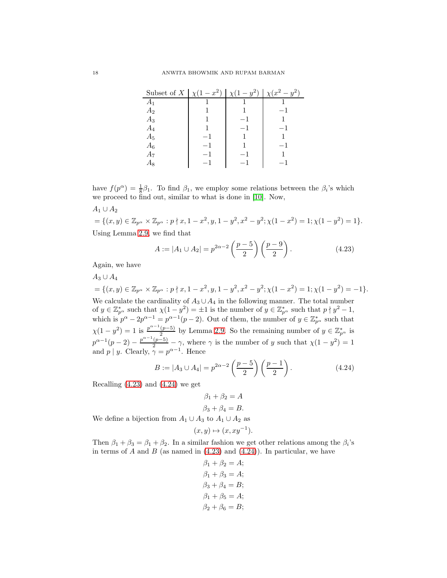| Subset of X   $\chi(1-x^2)$   $\chi(1-y^2)$ |      | $\chi(x^2-y^2)$ |
|---------------------------------------------|------|-----------------|
| $A_1$                                       |      |                 |
| A <sub>2</sub>                              |      |                 |
| $A_3$                                       |      |                 |
| $A_4$                                       |      |                 |
| $A_5$                                       |      |                 |
| $A_6$                                       | $-1$ | $-1$            |
| A7                                          |      |                 |
| Аg                                          |      |                 |

have  $f(p^{\alpha}) = \frac{1}{8}\beta_1$ . To find  $\beta_1$ , we employ some relations between the  $\beta_i$ 's which we proceed to find out, similar to what is done in [\[10\]](#page-20-6). Now,

 $A_1 \cup A_2$ 

 $=\{(x,y)\in \mathbb{Z}_{p^{\alpha}}\times \mathbb{Z}_{p^{\alpha}} : p\nmid x, 1-x^2, y, 1-y^2, x^2-y^2; \chi(1-x^2)=1; \chi(1-y^2)=1\}.$ Using Lemma [2.9,](#page-6-3) we find that

<span id="page-17-0"></span>
$$
A := |A_1 \cup A_2| = p^{2\alpha - 2} \left(\frac{p-5}{2}\right) \left(\frac{p-9}{2}\right). \tag{4.23}
$$

Again, we have

 $A_3 \cup A_4$ 

 $=\{(x,y)\in \mathbb{Z}_{p^{\alpha}}\times \mathbb{Z}_{p^{\alpha}}: p\nmid x, 1-x^2, y, 1-y^2, x^2-y^2; \chi(1-x^2)=1; \chi(1-y^2)=-1\}.$ We calculate the cardinality of  $A_3 \cup A_4$  in the following manner. The total number of  $y \in \mathbb{Z}_{p^{\alpha}}^*$  such that  $\chi(1-y^2) = \pm 1$  is the number of  $y \in \mathbb{Z}_{p^{\alpha}}^*$  such that  $p \nmid y^2 - 1$ , which is  $p^{\alpha} - 2p^{\alpha-1} = p^{\alpha-1}(p-2)$ . Out of them, the number of  $y \in \mathbb{Z}_{p^{\alpha}}^{*}$  such that  $\chi(1-y^2) = 1$  is  $\frac{p^{\alpha-1}(p-5)}{2}$  $\frac{(p-5)}{2}$  by Lemma [2.9.](#page-6-3) So the remaining number of  $y \in \mathbb{Z}_{p^{\alpha}}^{*}$  is  $p^{\alpha-1}(p-2) - \frac{p^{\alpha-1}(p-5)}{2} - \gamma$ , where  $\gamma$  is the number of y such that  $\chi(1-y^2) = 1$ and  $p \mid y$ . Clearly,  $\gamma = p^{\alpha-1}$ . Hence

<span id="page-17-1"></span>
$$
B := |A_3 \cup A_4| = p^{2\alpha - 2} \left(\frac{p-5}{2}\right) \left(\frac{p-1}{2}\right). \tag{4.24}
$$

Recalling [\(4.23\)](#page-17-0) and [\(4.24\)](#page-17-1) we get

$$
\beta_1 + \beta_2 = A
$$
  

$$
\beta_3 + \beta_4 = B.
$$

We define a bijection from  $A_1 \cup A_3$  to  $A_1 \cup A_2$  as

$$
(x,y)\mapsto (x,xy^{-1}).
$$

Then  $\beta_1 + \beta_3 = \beta_1 + \beta_2$ . In a similar fashion we get other relations among the  $\beta_i$ 's in terms of  $A$  and  $B$  (as named in  $(4.23)$  and  $(4.24)$ ). In particular, we have

$$
\beta_1 + \beta_2 = A;
$$
  
\n
$$
\beta_1 + \beta_3 = A;
$$
  
\n
$$
\beta_3 + \beta_4 = B;
$$
  
\n
$$
\beta_1 + \beta_5 = A;
$$
  
\n
$$
\beta_2 + \beta_6 = B;
$$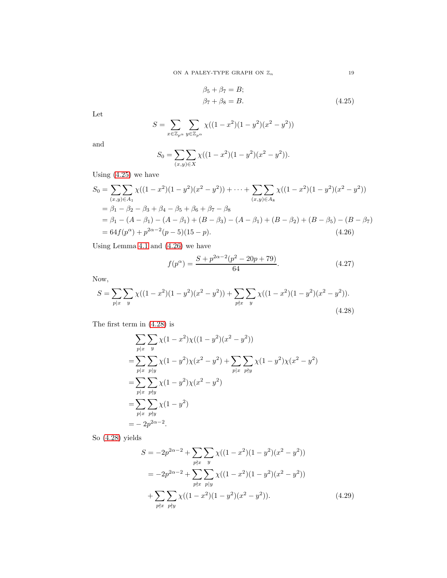$$
\beta_5 + \beta_7 = B;
$$
  
\n
$$
\beta_7 + \beta_8 = B.
$$
\n(4.25)

Let

$$
S = \sum_{x \in \mathbb{Z}_{p^{\alpha}}} \sum_{y \in \mathbb{Z}_{p^{\alpha}}} \chi((1 - x^2)(1 - y^2)(x^2 - y^2))
$$

and

$$
S_0 = \sum_{(x,y)\in X} \chi((1-x^2)(1-y^2)(x^2-y^2)).
$$

Using [\(4.25\)](#page-18-0) we have

$$
S_0 = \sum_{(x,y)\in A_1} \sum_{(1-x^2)(1-y^2)(x^2-y^2)} \cdots + \sum_{(x,y)\in A_8} \sum_{(x,y)\in A_8} \chi((1-x^2)(1-y^2)(x^2-y^2))
$$
  
=  $\beta_1 - \beta_2 - \beta_3 + \beta_4 - \beta_5 + \beta_6 + \beta_7 - \beta_8$   
=  $\beta_1 - (A - \beta_1) - (A - \beta_1) + (B - \beta_3) - (A - \beta_1) + (B - \beta_2) + (B - \beta_5) - (B - \beta_7)$   
=  $64f(p^{\alpha}) + p^{2\alpha-2}(p-5)(15-p).$  (4.26)

Using Lemma [4.1](#page-10-0) and [\(4.26\)](#page-18-1) we have

<span id="page-18-4"></span><span id="page-18-2"></span>
$$
f(p^{\alpha}) = \frac{S + p^{2\alpha - 2}(p^2 - 20p + 79)}{64}.
$$
 (4.27)

Now,

$$
S = \sum_{p|x} \sum_{y} \chi((1-x^2)(1-y^2)(x^2-y^2)) + \sum_{p\nmid x} \sum_{y} \chi((1-x^2)(1-y^2)(x^2-y^2)).
$$
\n(4.28)

The first term in [\(4.28\)](#page-18-2) is

$$
\sum_{p|x} \sum_{y} \chi(1 - x^2) \chi((1 - y^2)(x^2 - y^2))
$$
  
= 
$$
\sum_{p|x} \sum_{p|y} \chi(1 - y^2) \chi(x^2 - y^2) + \sum_{p|x} \sum_{p|y} \chi(1 - y^2) \chi(x^2 - y^2)
$$
  
= 
$$
\sum_{p|x} \sum_{p|y} \chi(1 - y^2) \chi(x^2 - y^2)
$$
  
= 
$$
\sum_{p|x} \sum_{p|y} \chi(1 - y^2)
$$
  
= 
$$
-2p^{2\alpha - 2}.
$$

So [\(4.28\)](#page-18-2) yields

<span id="page-18-3"></span>
$$
S = -2p^{2\alpha - 2} + \sum_{p \nmid x} \sum_{y} \chi((1 - x^2)(1 - y^2)(x^2 - y^2))
$$
  
=  $-2p^{2\alpha - 2} + \sum_{p \nmid x} \sum_{p \mid y} \chi((1 - x^2)(1 - y^2)(x^2 - y^2))$   
+  $\sum_{p \nmid x} \sum_{p \nmid y} \chi((1 - x^2)(1 - y^2)(x^2 - y^2)).$  (4.29)

<span id="page-18-1"></span><span id="page-18-0"></span>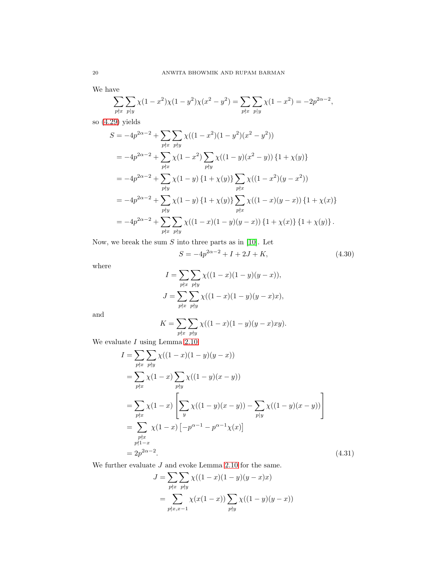We have

$$
\sum_{p \nmid x} \sum_{p \mid y} \chi(1 - x^2) \chi(1 - y^2) \chi(x^2 - y^2) = \sum_{p \nmid x} \sum_{p \mid y} \chi(1 - x^2) = -2p^{2\alpha - 2},
$$

so [\(4.29\)](#page-18-3) yields

$$
S = -4p^{2\alpha - 2} + \sum_{p \nmid x} \sum_{p \nmid y} \chi((1 - x^2)(1 - y^2)(x^2 - y^2))
$$
  
=  $-4p^{2\alpha - 2} + \sum_{p \nmid x} \chi(1 - x^2) \sum_{p \nmid y} \chi((1 - y)(x^2 - y)) \{1 + \chi(y)\}\$   
=  $-4p^{2\alpha - 2} + \sum_{p \nmid y} \chi(1 - y) \{1 + \chi(y)\}\sum_{p \nmid x} \chi((1 - x^2)(y - x^2))$   
=  $-4p^{2\alpha - 2} + \sum_{p \nmid y} \chi(1 - y) \{1 + \chi(y)\}\sum_{p \nmid x} \chi((1 - x)(y - x)) \{1 + \chi(x)\}\$   
=  $-4p^{2\alpha - 2} + \sum_{p \nmid y} \sum_{p \nmid y} \chi((1 - x)(1 - y)(y - x)) \{1 + \chi(x)\}\{1 + \chi(y)\}.$ 

Now, we break the sum  $S$  into three parts as in [\[10\]](#page-20-6). Let

<span id="page-19-1"></span>
$$
S = -4p^{2\alpha - 2} + I + 2J + K,\t\t(4.30)
$$

where

$$
I = \sum_{p \nmid x} \sum_{p \nmid y} \chi((1-x)(1-y)(y-x)),
$$
  
\n
$$
J = \sum_{p \nmid x} \sum_{p \nmid y} \chi((1-x)(1-y)(y-x)x),
$$

and

$$
K = \sum_{p \nmid x} \sum_{p \nmid y} \chi((1-x)(1-y)(y-x)xy).
$$

We evaluate  $I$  using Lemma [2.10.](#page-7-4)

$$
I = \sum_{p \nmid x} \sum_{p \nmid y} \chi((1-x)(1-y)(y-x))
$$
  
=  $\sum_{p \nmid x} \chi(1-x) \sum_{p \nmid y} \chi((1-y)(x-y))$   
=  $\sum_{p \nmid x} \chi(1-x) \left[ \sum_{y} \chi((1-y)(x-y)) - \sum_{p \mid y} \chi((1-y)(x-y)) \right]$   
=  $\sum_{p \nmid x} \chi(1-x) \left[ -p^{\alpha-1} - p^{\alpha-1} \chi(x) \right]$   
=  $2p^{2\alpha-2}$ . (4.31)

We further evaluate  $J$  and evoke Lemma [2.10](#page-7-4) for the same.

<span id="page-19-0"></span>
$$
J = \sum_{p \nmid x} \sum_{p \nmid y} \chi((1-x)(1-y)(y-x)x)
$$
  
= 
$$
\sum_{p \nmid x, x-1} \chi(x(1-x)) \sum_{p \nmid y} \chi((1-y)(y-x))
$$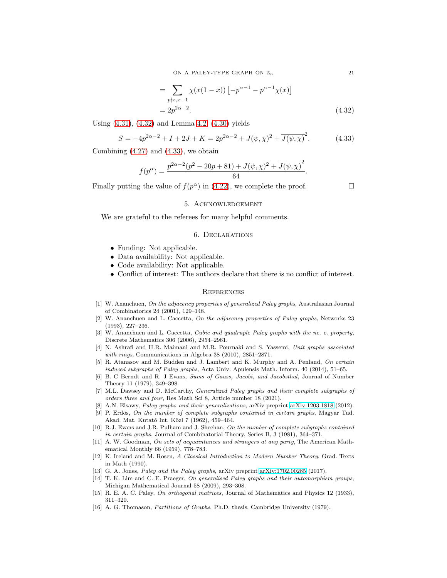ON A PALEY-TYPE GRAPH ON  $\mathbb{Z}_n$  21

$$
= \sum_{p \nmid x, x-1} \chi(x(1-x)) \left[ -p^{\alpha-1} - p^{\alpha-1} \chi(x) \right]
$$
  
=  $2p^{2\alpha-2}$ . (4.32)

Using [\(4.31\)](#page-19-0), [\(4.32\)](#page-20-16) and Lemma [4.2,](#page-12-1) [\(4.30\)](#page-19-1) yields

<span id="page-20-17"></span>
$$
S = -4p^{2\alpha - 2} + I + 2J + K = 2p^{2\alpha - 2} + J(\psi, \chi)^2 + \overline{J(\psi, \chi)}^2.
$$
 (4.33)

Combining  $(4.27)$  and  $(4.33)$ , we obtain

$$
f(p^{\alpha}) = \frac{p^{2\alpha - 2}(p^2 - 20p + 81) + J(\psi, \chi)^2 + \overline{J(\psi, \chi)}^2}{64}.
$$

Finally putting the value of  $f(p^{\alpha})$  in [\(4.22\)](#page-16-5), we complete the proof.

<span id="page-20-16"></span>

## 5. Acknowledgement

We are grateful to the referees for many helpful comments.

#### 6. Declarations

- Funding: Not applicable.
- Data availability: Not applicable.
- Code availability: Not applicable.
- Conflict of interest: The authors declare that there is no conflict of interest.

## **REFERENCES**

- <span id="page-20-8"></span>[1] W. Ananchuen, On the adjacency properties of generalized Paley graphs, Australasian Journal of Combinatorics 24 (2001), 129–148.
- <span id="page-20-9"></span>[2] W. Ananchuen and L. Caccetta, On the adjacency properties of Paley graphs, Networks 23 (1993), 227–236.
- <span id="page-20-10"></span>[3] W. Ananchuen and L. Caccetta, Cubic and quadruple Paley graphs with the ne. c. property, Discrete Mathematics 306 (2006), 2954–2961.
- <span id="page-20-14"></span>[4] N. Ashrafi and H.R. Maimani and M.R. Pournaki and S. Yassemi, Unit graphs associated with rings, Communications in Algebra 38 (2010), 2851–2871.
- <span id="page-20-7"></span>[5] R. Atanasov and M. Budden and J. Lambert and K. Murphy and A. Penland, On certain induced subgraphs of Paley graphs, Acta Univ. Apulensis Math. Inform. 40 (2014), 51–65.
- <span id="page-20-15"></span>[6] B. C Berndt and R. J Evans, Sums of Gauss, Jacobi, and Jacobsthal, Journal of Number Theory 11 (1979), 349–398.
- <span id="page-20-12"></span>[7] M.L. Dawsey and D. McCarthy, *Generalized Paley graphs and their complete subgraphs of* orders three and four, Res Math Sci 8, Article number 18 (2021).
- <span id="page-20-3"></span><span id="page-20-0"></span>[8] A.N. Elsawy, Paley graphs and their generalizations, arXiv preprint [arXiv:1203.1818](http://arxiv.org/abs/1203.1818) (2012).
- [9] P. Erdös, On the number of complete subgraphs contained in certain graphs, Magyar Tud. Akad. Mat. Kutató Int. Közl 7 (1962), 459–464.
- <span id="page-20-6"></span>[10] R.J. Evans and J.R. Pulham and J. Sheehan, On the number of complete subgraphs contained in certain graphs, Journal of Combinatorial Theory, Series B, 3 (1981), 364–371.
- <span id="page-20-4"></span>[11] A. W. Goodman, On sets of acquaintances and strangers at any party, The American Mathematical Monthly 66 (1959), 778–783.
- <span id="page-20-13"></span>[12] K. Ireland and M. Rosen, A Classical Introduction to Modern Number Theory, Grad. Texts in Math (1990).
- <span id="page-20-11"></span><span id="page-20-2"></span>[13] G. A. Jones, Paley and the Paley graphs, arXiv preprint [arXiv:1702.00285](http://arxiv.org/abs/1702.00285) (2017).
- [14] T. K. Lim and C. E. Praeger, On generalised Paley graphs and their automorphism groups, Michigan Mathematical Journal 58 (2009), 293–308.
- <span id="page-20-5"></span><span id="page-20-1"></span>[15] R. E. A. C. Paley, On orthogonal matrices, Journal of Mathematics and Physics 12 (1933), 311–320.
- [16] A. G. Thomason, Partitions of Graphs, Ph.D. thesis, Cambridge University (1979).